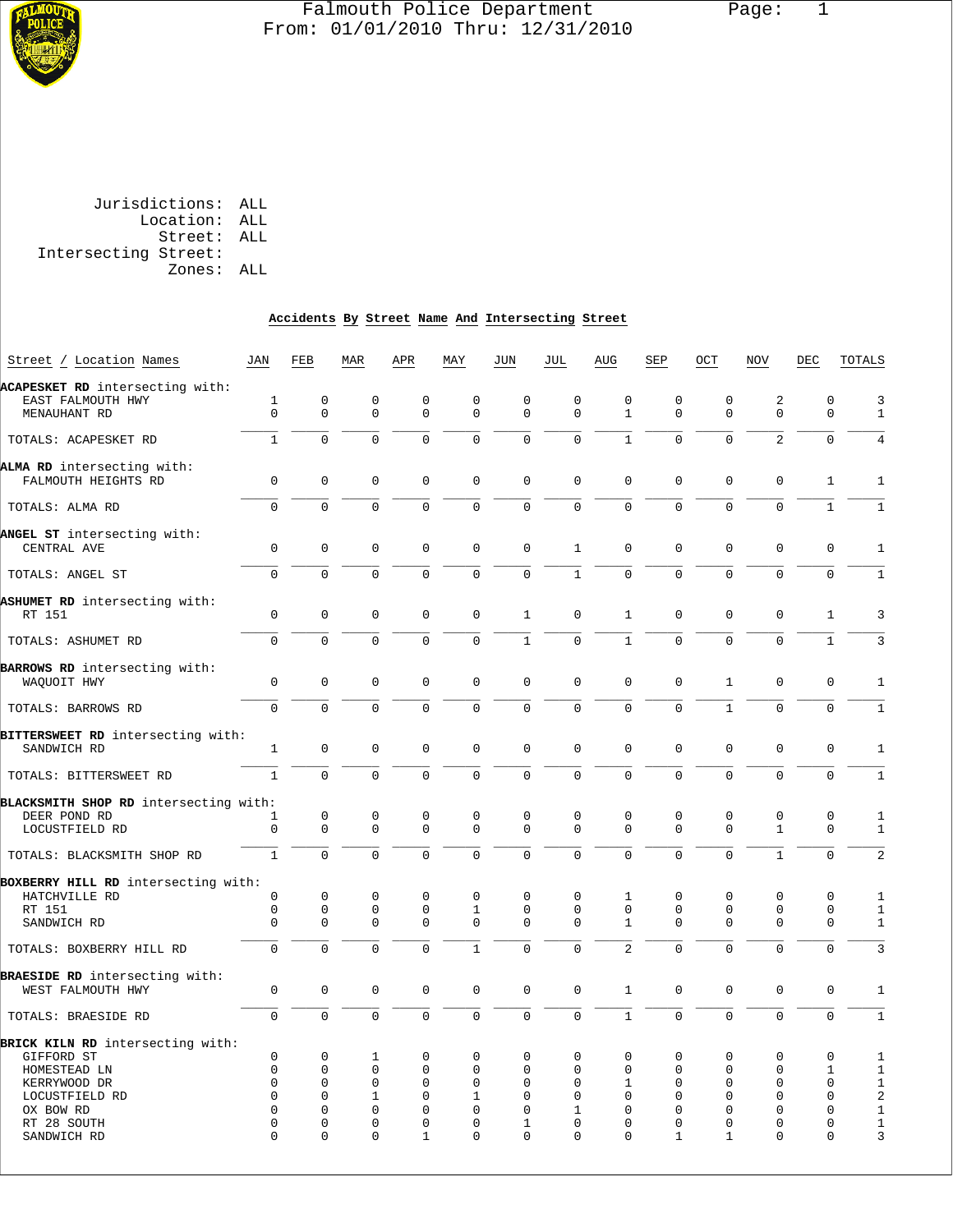

## Falmouth Police Department Page: 1 From: 01/01/2010 Thru: 12/31/2010

 Jurisdictions: ALL Location: ALL Street: ALL Intersecting Street: Zones: ALL

# **Accidents By Street Name And Intersecting Street**

| Street / Location Names                             | JAN            | FEB         | MAR            | APR          | MAY            | JUN          | JUL            | AUG            | SEP            | OCT          | NOV            | DEC          | TOTALS                    |
|-----------------------------------------------------|----------------|-------------|----------------|--------------|----------------|--------------|----------------|----------------|----------------|--------------|----------------|--------------|---------------------------|
| ACAPESKET RD intersecting with:                     |                |             |                |              |                |              |                |                |                |              |                |              |                           |
| EAST FALMOUTH HWY                                   | $\mathbf{1}$   | $\mathbf 0$ | 0              | $\mathbf 0$  | 0              | $\mathbf 0$  | $\mathbf 0$    | $\mathbf 0$    | $\mathbf 0$    | $\mathbf 0$  | 2              | $\Omega$     | $\overline{3}$            |
| MENAUHANT RD                                        | $\Omega$       | $\Omega$    | $\Omega$       | $\Omega$     | $\mathbf 0$    | $\Omega$     | $\mathbf 0$    | $\mathbf{1}$   | $\mathbf 0$    | $\mathbf 0$  | $\mathbf 0$    | $\mathbf 0$  | $\mathbf{1}$              |
|                                                     |                |             |                |              |                |              |                |                |                |              |                |              |                           |
| TOTALS: ACAPESKET RD                                | $\mathbf{1}$   | $\Omega$    | $\Omega$       | $\Omega$     | $\Omega$       | $\Omega$     | $\Omega$       | $\mathbf{1}$   | $\Omega$       | $\Omega$     | $\overline{2}$ | $\Omega$     | $\overline{4}$            |
| ALMA RD intersecting with:                          |                |             |                |              |                |              |                |                |                |              |                |              |                           |
| FALMOUTH HEIGHTS RD                                 | $\mathbf 0$    | 0           | 0              | $\mathbf 0$  | $\mathbf 0$    | $\mathbf 0$  | $\mathbf 0$    | $\mathbf 0$    | $\mathbf 0$    | $\mathbf 0$  | $\mathbf 0$    | $\mathbf{1}$ | $\mathbf{1}$              |
|                                                     |                |             |                |              |                |              |                |                |                |              |                |              |                           |
| TOTALS: ALMA RD                                     | $\Omega$       | $\Omega$    | $\overline{0}$ | $\Omega$     | $\overline{0}$ | $\mathbf 0$  | $\overline{0}$ | $\Omega$       | $\Omega$       | $\Omega$     | $\mathbf 0$    | $\mathbf{1}$ | $\mathbf{1}$              |
| ANGEL ST intersecting with:                         |                |             |                |              |                |              |                |                |                |              |                |              |                           |
| CENTRAL AVE                                         | $\Omega$       | $\Omega$    | $\Omega$       | $\Omega$     | $\Omega$       | $\Omega$     | $\mathbf{1}$   | $\Omega$       | $\Omega$       | $\Omega$     | $\Omega$       | $\Omega$     | $\mathbf{1}$              |
|                                                     |                |             |                |              |                |              |                |                |                |              |                |              |                           |
| TOTALS: ANGEL ST                                    | $\Omega$       | $\Omega$    | $\Omega$       | $\Omega$     | $\Omega$       | $\Omega$     | $\mathbf{1}$   | $\Omega$       | $\Omega$       | $\Omega$     | $\Omega$       | $\Omega$     | $\mathbf{1}$              |
| ASHUMET RD intersecting with:                       |                |             |                |              |                |              |                |                |                |              |                |              |                           |
| RT 151                                              | $\Omega$       | $\Omega$    | $\Omega$       | $\Omega$     | $\Omega$       | $\mathbf{1}$ | 0              | $\mathbf{1}$   | $\Omega$       | $\Omega$     | $\Omega$       | $\mathbf{1}$ | 3                         |
|                                                     |                |             |                |              |                |              |                |                |                |              |                |              |                           |
| TOTALS: ASHUMET RD                                  | 0              | $\mathbf 0$ | 0              | $\mathbf 0$  | $\mathbf 0$    | $\mathbf{1}$ | $\overline{0}$ | $\mathbf{1}$   | $\overline{0}$ | $\mathbf 0$  | $\mathbf 0$    | $\mathbf{1}$ | $\overline{3}$            |
| BARROWS RD intersecting with:                       |                |             |                |              |                |              |                |                |                |              |                |              |                           |
| WAQUOIT HWY                                         | $\mathbf 0$    | 0           | 0              | $\mathbf 0$  | 0              | $\mathbf 0$  | $\overline{0}$ | $\mathbf 0$    | $\mathbf 0$    | $\mathbf{1}$ | $\mathbf{0}$   | $\mathbf 0$  | $\mathbf{1}$              |
|                                                     |                |             |                |              |                |              |                |                |                |              |                |              |                           |
| TOTALS: BARROWS RD                                  | $\Omega$       | $\Omega$    | $\Omega$       | $\Omega$     | $\mathbf 0$    | $\Omega$     | $\overline{0}$ | $\mathbf 0$    | 0              | $\mathbf{1}$ | $\Omega$       | $\mathbf 0$  | $1\,$                     |
| BITTERSWEET RD intersecting with:                   |                |             |                |              |                |              |                |                |                |              |                |              |                           |
| SANDWICH RD                                         | $\mathbf{1}$   | $\mathbf 0$ | $\mathbf 0$    | $\mathbf 0$  | 0              | $\mathbf 0$  | $\overline{0}$ | $\mathbf 0$    | $\mathbf 0$    | $\mathbf 0$  | $\mathbf{0}$   | $\mathbf 0$  | $\mathbf{1}$              |
|                                                     |                |             |                |              |                |              |                |                |                |              |                |              |                           |
| TOTALS: BITTERSWEET RD                              | $\mathbf{1}$   | $\Omega$    | $\Omega$       | $\Omega$     | $\Omega$       | $\Omega$     | $\overline{0}$ | $\Omega$       | $\Omega$       | $\Omega$     | $\Omega$       | $\Omega$     | $\mathbf{1}$              |
| BLACKSMITH SHOP RD intersecting with:               |                |             |                |              |                |              |                |                |                |              |                |              |                           |
| DEER POND RD                                        | 1              | $\mathbf 0$ | $\mathbf 0$    | $\mathbf 0$  | 0              | $\mathbf 0$  | $\mathbf 0$    | $\mathbf{0}$   | 0              | $\mathbf 0$  | $\mathbf{0}$   | $\mathbf 0$  | $\mathbf{1}$              |
| LOCUSTFIELD RD                                      | 0              | $\mathbf 0$ | $\Omega$       | $\Omega$     | $\Omega$       | $\mathbf 0$  | $\Omega$       | $\Omega$       | $\Omega$       | $\Omega$     | $\mathbf{1}$   | $\Omega$     | $\mathbf{1}$              |
| TOTALS: BLACKSMITH SHOP RD                          | $\mathbf{1}$   | $\Omega$    | $\Omega$       | $\Omega$     | $\Omega$       | $\Omega$     | $\Omega$       | $\Omega$       | $\Omega$       | $\Omega$     | $\mathbf{1}$   | $\Omega$     | $\overline{2}$            |
|                                                     |                |             |                |              |                |              |                |                |                |              |                |              |                           |
| BOXBERRY HILL RD intersecting with:                 |                |             |                |              |                |              |                |                |                |              |                |              |                           |
| HATCHVILLE RD                                       | 0              | $\mathbf 0$ | $\mathbf 0$    | $\mathbf 0$  | 0              | $\Omega$     | $\mathbf 0$    | 1              | 0              | $\mathbf 0$  | $\mathbf 0$    | $\mathbf 0$  | $\mathbf{1}$              |
| RT 151                                              | 0              | $\mathsf 0$ | 0              | 0            | $\mathbf 1$    | 0            | $\mathsf 0$    | $\mathsf 0$    | 0              | $\mathbf 0$  | $\mathsf 0$    | $\mathbf 0$  | $\mathbf{1}$              |
| SANDWICH RD                                         | $\Omega$       | 0           | $\Omega$       | $\Omega$     | $\overline{0}$ | $\mathbf 0$  | $\overline{0}$ | $\mathbf{1}$   | $\mathbf 0$    | $\Omega$     | $\Omega$       | $\mathbf 0$  | $1\,$                     |
| TOTALS: BOXBERRY HILL RD                            | $\Omega$       | $\Omega$    | $\Omega$       | $\Omega$     | $\mathbf{1}$   | $\mathbf 0$  | $\overline{0}$ | $\overline{2}$ | $\overline{0}$ | $\Omega$     | $\overline{0}$ | $\mathbf 0$  | $\overline{\overline{3}}$ |
|                                                     |                |             |                |              |                |              |                |                |                |              |                |              |                           |
| BRAESIDE RD intersecting with:<br>WEST FALMOUTH HWY | 0              | $\mathsf 0$ | $\mathsf 0$    | $\mathsf 0$  | 0              | $\mathbf 0$  | $\mathbf 0$    | $\mathbf{1}$   | $\mathbf 0$    | $\mathbf 0$  | $\mathbf 0$    | $\mathbf 0$  | $\mathbf{1}$              |
|                                                     |                |             |                |              |                |              |                |                |                |              |                |              |                           |
| TOTALS: BRAESIDE RD                                 | $\overline{0}$ | $\mathbf 0$ | $\mathbf 0$    | $\mathbf 0$  | $\mathbf 0$    | $\mathbf 0$  | $\mathbf{0}$   | $\mathbf{1}$   | $\overline{0}$ | $\mathbf 0$  | $\mathbf 0$    | $\mathbf 0$  | $\mathbf{1}$              |
| BRICK KILN RD intersecting with:                    |                |             |                |              |                |              |                |                |                |              |                |              |                           |
| GIFFORD ST                                          | 0              | 0           | 1              | $\mathbf 0$  | 0              | 0            | 0              | 0              | 0              | $\mathbf 0$  | $\mathbf 0$    | 0            | 1                         |
| HOMESTEAD LN                                        | 0              | 0           | 0              | $\mathbf 0$  | 0              | 0            | $\mathbf 0$    | $\mathbf{0}$   | $\mathbf 0$    | $\mathbf 0$  | $\mathbf{0}$   | 1            | $\mathbf{1}$              |
| KERRYWOOD DR                                        | $\Omega$       | $\Omega$    | 0              | $\Omega$     | $\overline{0}$ | $\Omega$     | $\overline{0}$ | 1              | 0              | $\mathbf 0$  | $\mathbf 0$    | $\mathbf 0$  | $\mathbf{1}$              |
| LOCUSTFIELD RD                                      | $\Omega$       | $\Omega$    | $\mathbf{1}$   | $\Omega$     | $\mathbf{1}$   | $\Omega$     | $\Omega$       | $\Omega$       | $\Omega$       | $\Omega$     | $\Omega$       | $\Omega$     | $\overline{c}$            |
| OX BOW RD                                           | 0              | 0           | 0              | $\mathbf 0$  | 0              | 0            | 1              | $\mathbf 0$    | 0              | $\mathbf 0$  | $\mathbf 0$    | 0            | $\mathbf 1$               |
| RT 28 SOUTH                                         | 0              | 0           | 0              | $\mathbf 0$  | 0              | 1            | $\mathbf 0$    | $\Omega$       | $\mathbf 0$    | $\mathbf 0$  | $\mathbf{0}$   | $\mathbf 0$  | $1\,$                     |
| SANDWICH RD                                         | $\Omega$       | $\Omega$    | $\Omega$       | $\mathbf{1}$ | $\Omega$       | $\Omega$     | $\Omega$       | 0              | $\mathbf{1}$   | $\mathbf{1}$ | $\Omega$       | $\Omega$     | 3                         |
|                                                     |                |             |                |              |                |              |                |                |                |              |                |              |                           |
|                                                     |                |             |                |              |                |              |                |                |                |              |                |              |                           |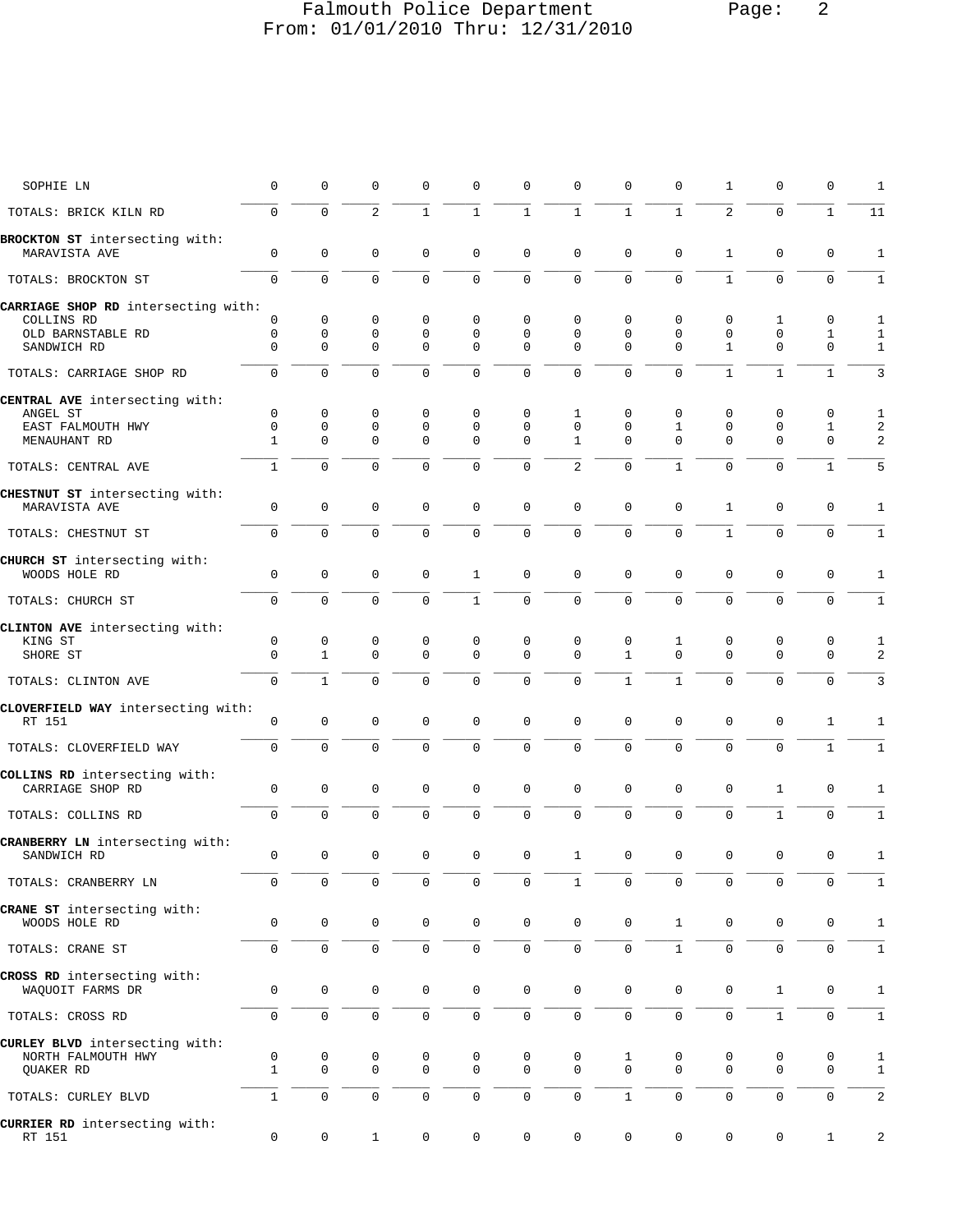## Falmouth Police Department Page: 2 From: 01/01/2010 Thru: 12/31/2010

| SOPHIE LN                                         | $\mathbf 0$         | $\Omega$            | 0              | $\Omega$            | 0            | $\mathbf 0$  | $\mathbf 0$         | $\Omega$            | $\Omega$     | $\mathbf{1}$        | $\mathbf 0$  | $\mathbf 0$  | 1              |
|---------------------------------------------------|---------------------|---------------------|----------------|---------------------|--------------|--------------|---------------------|---------------------|--------------|---------------------|--------------|--------------|----------------|
| TOTALS: BRICK KILN RD                             | 0                   | $\Omega$            | $\overline{a}$ | $\mathbf{1}$        | $\mathbf{1}$ | $\mathbf{1}$ | $\mathbf{1}$        | $\mathbf{1}$        | $\mathbf{1}$ | $\overline{a}$      | $\Omega$     | $\mathbf{1}$ | 11             |
| BROCKTON ST intersecting with:<br>MARAVISTA AVE   | 0                   | 0                   | $\mathsf 0$    | $\mathbf 0$         | 0            | $\mathbf 0$  | $\mathbf 0$         | $\mathbf 0$         | $\mathbf 0$  | $\mathbf{1}$        | $\mathbf 0$  | 0            | $\mathbf{1}$   |
| TOTALS: BROCKTON ST                               | $\Omega$            | $\Omega$            | $\Omega$       | $\Omega$            | $\Omega$     | $\mathbf 0$  | $\Omega$            | $\Omega$            | $\Omega$     | $\mathbf{1}$        | $\Omega$     | $\mathbf 0$  | $\mathbf{1}$   |
| CARRIAGE SHOP RD intersecting with:               |                     |                     |                |                     |              |              |                     |                     |              |                     |              |              |                |
| COLLINS RD                                        | $\mathbf 0$         | 0                   | 0              | $\mathbf 0$         | 0            | 0            | $\Omega$            | $\Omega$            | 0            | $\mathbf 0$         | 1            | 0            | 1              |
| OLD BARNSTABLE RD                                 | $\mathbf 0$         | $\mathsf 0$         | $\mathsf 0$    | $\mathbf 0$         | $\mathbf 0$  | $\mathbf 0$  | $\mathbf 0$         | $\Omega$            | $\mathbf 0$  | $\mathbf 0$         | $\mathbf 0$  | $\mathbf{1}$ | 1              |
| SANDWICH RD                                       | $\Omega$            | $\Omega$            | $\mathbf 0$    | $\mathbf 0$         | $\mathbf 0$  | $\mathbf 0$  | $\Omega$            | $\Omega$            | $\Omega$     | $\mathbf{1}$        | $\mathbf 0$  | $\mathbf 0$  | $\mathbf{1}$   |
| TOTALS: CARRIAGE SHOP RD                          | $\Omega$            | $\Omega$            | $\Omega$       | $\Omega$            | $\Omega$     | $\Omega$     | $\Omega$            | $\Omega$            | $\Omega$     | $\mathbf{1}$        | $\mathbf{1}$ | $\mathbf{1}$ | 3              |
| CENTRAL AVE intersecting with:                    |                     |                     |                |                     |              |              |                     |                     |              |                     |              |              |                |
| ANGEL ST                                          | $\mathbf 0$         | 0                   | 0              | $\mathbf 0$         | 0            | 0            | 1                   | $\Omega$            | 0            | $\mathbf 0$         | $\mathbf 0$  | 0            | 1              |
| EAST FALMOUTH HWY                                 | $\mathbf 0$         | 0                   | 0              | $\mathbf 0$         | $\mathbf 0$  | $\mathbf 0$  | $\mathbf 0$         | $\Omega$            | $\mathbf{1}$ | $\mathbf 0$         | $\mathsf 0$  | $\mathbf{1}$ | $\overline{2}$ |
| MENAUHANT RD                                      | $\mathbf{1}$        | $\Omega$            | $\Omega$       | $\Omega$            | $\Omega$     | $\mathbf 0$  | $\mathbf{1}$        | $\Omega$            | $\Omega$     | $\mathbf 0$         | $\mathbf 0$  | $\mathbf 0$  | 2              |
| TOTALS: CENTRAL AVE                               | $\mathbf{1}$        | $\Omega$            | $\Omega$       | $\Omega$            | $\Omega$     | $\Omega$     | 2                   | $\Omega$            | $\mathbf{1}$ | $\Omega$            | $\Omega$     | $\mathbf{1}$ | 5              |
| CHESTNUT ST intersecting with:<br>MARAVISTA AVE   | $\mathbf 0$         | 0                   | $\mathbf 0$    | $\mathbf 0$         | 0            | $\mathbf 0$  | $\mathbf 0$         | $\mathbf 0$         | $\mathbf 0$  | $\mathbf{1}$        | $\mathbf 0$  | $\mathbf 0$  | 1              |
| TOTALS: CHESTNUT ST                               | 0                   | 0                   | 0              | $\Omega$            | $\mathbf 0$  | $\mathbf 0$  | $\mathbf 0$         | $\Omega$            | $\mathbf 0$  | $\mathbf{1}$        | $\mathbf 0$  | $\mathbf 0$  | $\mathbf{1}$   |
|                                                   |                     |                     |                |                     |              |              |                     |                     |              |                     |              |              |                |
| CHURCH ST intersecting with:<br>WOODS HOLE RD     | 0                   | 0                   | $\mathsf 0$    | $\mathbf 0$         | $\mathbf{1}$ | 0            | $\mathbf 0$         | $\mathbf 0$         | 0            | $\mathsf{O}\xspace$ | $\mathbf 0$  | $\mathbf 0$  | 1              |
| TOTALS: CHURCH ST                                 | $\mathbf{0}$        | $\Omega$            | $\Omega$       | $\Omega$            | $\mathbf{1}$ | $\mathbf 0$  | $\mathbf 0$         | $\Omega$            | $\mathbf 0$  | $\Omega$            | $\Omega$     | $\Omega$     | $\mathbf{1}$   |
| CLINTON AVE intersecting with:                    |                     |                     |                |                     |              |              |                     |                     |              |                     |              |              |                |
| KING ST                                           | $\mathsf 0$         | $\mathbf 0$         | $\mathsf 0$    | 0                   | 0            | 0            | $\mathbf 0$         | $\mathbf 0$         | 1            | $\mathbf 0$         | $\mathbf 0$  | 0            | 1              |
| SHORE ST                                          | $\Omega$            | $\mathbf{1}$        | $\mathbf 0$    | $\Omega$            | $\Omega$     | $\Omega$     | $\Omega$            | $\mathbf{1}$        | $\Omega$     | $\Omega$            | $\Omega$     | $\mathbf 0$  | 2              |
| TOTALS: CLINTON AVE                               | $\mathbf 0$         | $\mathbf{1}$        | $\Omega$       | $\Omega$            | $\Omega$     | $\mathbf 0$  | $\mathbf 0$         | $\mathbf{1}$        | $\mathbf{1}$ | $\Omega$            | $\Omega$     | $\mathbf 0$  | 3              |
| CLOVERFIELD WAY intersecting with:<br>RT 151      | 0                   | 0                   | 0              | $\mathbf 0$         | 0            | $\mathbf 0$  | $\mathbf 0$         | $\Omega$            | $\mathbf 0$  | $\mathbf 0$         | $\mathbf 0$  | 1            | 1              |
|                                                   |                     |                     |                |                     |              |              |                     |                     |              |                     |              |              |                |
| TOTALS: CLOVERFIELD WAY                           | $\mathbf 0$         | $\Omega$            | $\Omega$       | $\Omega$            | $\Omega$     | $\mathbf 0$  | $\Omega$            | $\Omega$            | $\Omega$     | $\Omega$            | $\Omega$     | $\mathbf{1}$ | $\mathbf{1}$   |
| COLLINS RD intersecting with:<br>CARRIAGE SHOP RD | $\mathbf 0$         | 0                   | $\mathbf 0$    | $\mathbf 0$         | 0            | $\mathbf 0$  | $\mathbf 0$         | $\mathbf 0$         | 0            | $\mathsf{O}\xspace$ | $\mathbf{1}$ | $\mathbf 0$  | $\mathbf{1}$   |
| TOTALS: COLLINS RD                                | $\mathbf{0}$        | $\Omega$            | 0              | $\Omega$            | 0            | $\mathbf 0$  | $\mathbf 0$         | $\Omega$            | $\mathbf 0$  | $\mathbf 0$         | $\mathbf{1}$ | 0            | $\mathbf{1}$   |
| CRANBERRY LN intersecting with:                   |                     |                     |                |                     |              |              |                     |                     |              |                     |              |              |                |
| SANDWICH RD                                       | $\mathbf 0$         | $\mathsf 0$         | $\mathbf 0$    | $\mathbf 0$         | 0            | $\mathbf 0$  | $\mathbf{1}$        | $\mathbf 0$         | $\mathbf 0$  | $\mathbf 0$         | $\mathbf 0$  | $\mathbf 0$  | $\mathbf{1}$   |
| TOTALS: CRANBERRY LN                              | $\mathsf{O}\xspace$ | 0                   | $\mathsf 0$    | 0                   | 0            | 0            | $\mathbf{1}$        | $\mathsf 0$         | 0            | $\mathsf{O}\xspace$ | $\mathbf 0$  | 0            | $\mathbf{1}$   |
| CRANE ST intersecting with:                       |                     |                     |                |                     |              |              |                     |                     |              |                     |              |              |                |
| WOODS HOLE RD                                     | 0                   | 0                   | 0              | $\mathbf 0$         | 0            | 0            | $\mathbf 0$         | $\mathbf 0$         | $\mathbf{1}$ | 0                   | $\mathbf 0$  | 0            | 1              |
| TOTALS: CRANE ST                                  | 0                   | 0                   | $\mathsf 0$    | 0                   | 0            | 0            | $\mathbf 0$         | $\mathsf{O}\xspace$ | $\mathbf{1}$ | $\mathbf 0$         | $\mathbf 0$  | $\mathbf 0$  | $\mathbf{1}$   |
|                                                   |                     |                     |                |                     |              |              |                     |                     |              |                     |              |              |                |
| CROSS RD intersecting with:<br>WAQUOIT FARMS DR   | 0                   | $\mathbf 0$         | $\mathsf 0$    | 0                   | 0            | $\mathsf 0$  | $\mathsf 0$         | 0                   | 0            | $\mathsf{O}\xspace$ | 1            | 0            | 1              |
| TOTALS: CROSS RD                                  | 0                   | 0                   | $\mathsf 0$    | $\mathsf{O}\xspace$ | 0            | 0            | $\mathsf{O}\xspace$ | $\mathbf 0$         | 0            | $\mathsf{O}\xspace$ | $\mathbf{1}$ | 0            | $\mathbf{1}$   |
| CURLEY BLVD intersecting with:                    |                     |                     |                |                     |              |              |                     |                     |              |                     |              |              |                |
| NORTH FALMOUTH HWY                                | 0                   | 0                   | 0              | 0                   | 0            | 0            | 0                   | 1                   | 0            | 0                   | 0            | 0            | 1              |
| QUAKER RD                                         | $\mathbf{1}$        | $\mathbf 0$         | 0              | $\mathbf 0$         | $\mathbf 0$  | 0            | $\mathbf 0$         | $\mathsf{O}\xspace$ | $\mathbf 0$  | 0                   | $\mathbf 0$  | $\mathbf 0$  | $\mathbf{1}$   |
| TOTALS: CURLEY BLVD                               | $\mathbf{1}$        | $\mathsf 0$         | $\mathsf 0$    | $\mathsf 0$         | 0            | 0            | $\mathsf 0$         | $\mathbf{1}$        | 0            | $\mathsf{O}\xspace$ | $\mathsf 0$  | 0            | 2              |
|                                                   |                     |                     |                |                     |              |              |                     |                     |              |                     |              |              |                |
| CURRIER RD intersecting with:<br>RT 151           | 0                   | $\mathsf{O}\xspace$ | $\mathbf{1}$   | 0                   | 0            | 0            | 0                   | 0                   | 0            | $\mathsf 0$         | 0            | $\mathbf{1}$ | 2              |
|                                                   |                     |                     |                |                     |              |              |                     |                     |              |                     |              |              |                |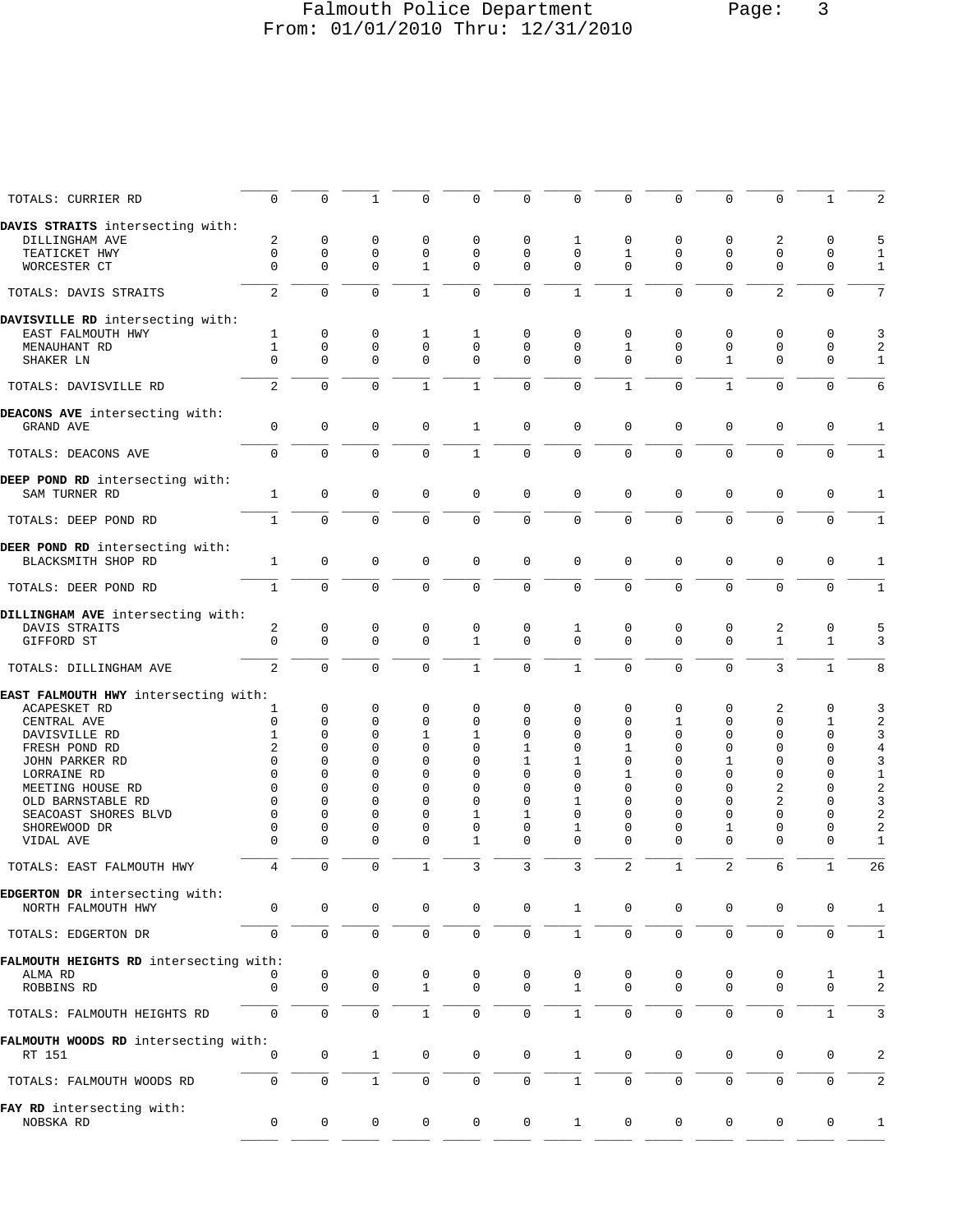## Falmouth Police Department Page: 3 From: 01/01/2010 Thru: 12/31/2010

| TOTALS: CURRIER RD                             | $\Omega$       | 0                   | $\mathbf{1}$ | $\Omega$     | 0              | $\mathbf 0$         | $\mathbf 0$    | $\mathbf 0$  | 0            | $\mathbf 0$    | 0              | 1            | 2            |
|------------------------------------------------|----------------|---------------------|--------------|--------------|----------------|---------------------|----------------|--------------|--------------|----------------|----------------|--------------|--------------|
| DAVIS STRAITS intersecting with:               |                |                     |              |              |                |                     |                |              |              |                |                |              |              |
| DILLINGHAM AVE                                 | 2              | 0                   | 0            | 0            | 0              | 0                   | 1              | 0            | 0            | 0              | 2              | 0            | 5            |
| TEATICKET HWY                                  | $\mathbf 0$    | 0                   | 0            | 0            | 0              | $\mathbf 0$         | $\mathbf 0$    | 1            | 0            | $\mathbf 0$    | $\mathbf 0$    | $\mathbf 0$  | 1            |
|                                                | $\Omega$       |                     |              | $\mathbf{1}$ | $\mathbf{0}$   |                     | $\Omega$       | $\Omega$     | $\Omega$     | $\Omega$       | $\Omega$       | $\mathbf 0$  |              |
| WORCESTER CT                                   |                | $\mathbf 0$         | 0            |              |                | 0                   |                |              |              |                |                |              | $\mathbf{1}$ |
| TOTALS: DAVIS STRAITS                          | $\overline{2}$ | $\mathbf 0$         | 0            | $\mathbf{1}$ | $\overline{0}$ | $\mathbf 0$         | $\mathbf{1}$   | $\mathbf{1}$ | $\mathbf 0$  | $\Omega$       | $\overline{2}$ | $\mathbf 0$  | 7            |
| DAVISVILLE RD intersecting with:               |                |                     |              |              |                |                     |                |              |              |                |                |              |              |
| EAST FALMOUTH HWY                              | 1              | 0                   | 0            | 1            | 1              | 0                   | 0              | 0            | 0            | $\mathbf 0$    | 0              | $\mathbf 0$  | 3            |
| MENAUHANT RD                                   | $\mathbf{1}$   | 0                   | 0            | $\mathbf 0$  | 0              | 0                   | $\mathbf 0$    | 1            | 0            | $\mathbf 0$    | $\mathbf 0$    | 0            | 2            |
| SHAKER LN                                      | $\Omega$       | $\Omega$            | $\Omega$     | $\Omega$     | $\Omega$       | 0                   | $\Omega$       | $\Omega$     | $\Omega$     | $\mathbf 1$    | $\Omega$       | 0            | $\mathbf{1}$ |
|                                                |                |                     |              |              |                |                     |                |              |              |                |                |              |              |
| TOTALS: DAVISVILLE RD                          | $\overline{2}$ | $\mathbf 0$         | 0            | $\mathbf{1}$ | $\mathbf{1}$   | $\mathbf 0$         | $\mathbf 0$    | $\mathbf{1}$ | $\mathbf 0$  | $\mathbf{1}$   | $\Omega$       | $\mathbf 0$  | 6            |
| DEACONS AVE intersecting with:                 |                |                     |              |              |                |                     |                |              |              |                |                |              |              |
| GRAND AVE                                      | 0              | 0                   | 0            | $\mathbf 0$  | 1              | $\mathbf 0$         | $\mathbf 0$    | $\mathbf 0$  | 0            | $\mathbf 0$    | 0              | 0            | 1            |
| TOTALS: DEACONS AVE                            | 0              | $\Omega$            | $\mathbf 0$  | $\mathbf 0$  | $\mathbf{1}$   | $\mathbf 0$         | $\mathbf{0}$   | $\Omega$     | $\Omega$     | $\Omega$       | $\mathbf 0$    | $\mathbf 0$  | $\mathbf{1}$ |
|                                                |                |                     |              |              |                |                     |                |              |              |                |                |              |              |
| DEEP POND RD intersecting with:                |                |                     |              |              |                |                     |                |              |              |                |                |              |              |
| SAM TURNER RD                                  | 1              | $\mathbf 0$         | 0            | $\mathbf 0$  | 0              | $\mathsf 0$         | $\mathbf 0$    | $\mathbf 0$  | 0            | $\mathbf 0$    | $\mathbf{0}$   | $\mathbf 0$  | 1            |
| TOTALS: DEEP POND RD                           | $\mathbf{1}$   | $\mathbf 0$         | 0            | $\mathbf 0$  | 0              | $\mathsf 0$         | $\mathbf 0$    | $\mathbf 0$  | 0            | $\mathbf 0$    | $\mathbf{0}$   | $\mathbf 0$  | $\mathbf{1}$ |
|                                                |                |                     |              |              |                |                     |                |              |              |                |                |              |              |
| DEER POND RD intersecting with:                |                |                     |              |              |                |                     |                |              |              |                |                |              |              |
| BLACKSMITH SHOP RD                             | $\mathbf{1}$   | $\mathbf 0$         | 0            | $\mathbf 0$  | 0              | $\mathsf{O}\xspace$ | $\mathbf 0$    | $\mathbf 0$  | $\mathbf 0$  | $\mathbf 0$    | $\mathbf 0$    | $\mathbf 0$  | 1            |
| TOTALS: DEER POND RD                           | $\mathbf{1}$   | $\Omega$            | 0            | $\Omega$     | $\mathbf 0$    | $\mathbf 0$         | $\overline{0}$ | $\Omega$     | $\Omega$     | $\mathbf 0$    | $\mathbf 0$    | $\Omega$     | $\mathbf{1}$ |
| DILLINGHAM AVE intersecting with:              |                |                     |              |              |                |                     |                |              |              |                |                |              |              |
| DAVIS STRAITS                                  | 2              | 0                   | 0            | 0            | 0              | 0                   | 1              | 0            | 0            | 0              | 2              | 0            | 5            |
| GIFFORD ST                                     | $\Omega$       | 0                   | $\mathbf 0$  | $\Omega$     | 1              | $\mathbf 0$         | $\Omega$       | $\Omega$     | $\Omega$     | $\Omega$       | $\mathbf{1}$   | $\mathbf{1}$ | 3            |
|                                                |                |                     |              |              |                |                     |                |              |              |                |                |              |              |
| TOTALS: DILLINGHAM AVE                         | 2              | $\mathbf 0$         | $\mathbf 0$  | $\mathbf 0$  | $\mathbf{1}$   | $\mathsf 0$         | $\mathbf{1}$   | $\mathbf 0$  | $\mathbf 0$  | $\mathbf 0$    | 3              | $\mathbf{1}$ | 8            |
| EAST FALMOUTH HWY intersecting with:           |                |                     |              |              |                |                     |                |              |              |                |                |              |              |
| ACAPESKET RD                                   | 1              | 0                   | 0            | $\mathbf 0$  | 0              | $\mathbf 0$         | $\mathbf 0$    | 0            | 0            | $\mathbf 0$    | 2              | $\mathbf 0$  | 3            |
| CENTRAL AVE                                    | 0              | 0                   | 0            | 0            | 0              | 0                   | $\mathbf 0$    | 0            | 1            | 0              | 0              | 1            | 2            |
| DAVISVILLE RD                                  | 1              | $\Omega$            | 0            | 1            | 1              | 0                   | $\mathbf 0$    | 0            | 0            | 0              | $\mathbf 0$    | $\mathbf 0$  | 3            |
|                                                | 2              | $\Omega$            | $\Omega$     | $\Omega$     | 0              | 1                   | $\mathbf 0$    |              | 0            |                | $\mathbf 0$    | $\mathbf 0$  |              |
| FRESH POND RD                                  |                |                     |              |              |                |                     |                | 1            |              | 0              |                |              | $\,4$        |
| JOHN PARKER RD                                 | $\Omega$       | $\Omega$            | 0            | 0            | 0              | 1                   | 1              | 0            | 0            | 1              | $\mathbf 0$    | $\mathbf 0$  | 3            |
| LORRAINE RD                                    | $\Omega$       | O                   | $\Omega$     | $\Omega$     | 0              | 0                   | $\Omega$       | 1            | $\Omega$     | $\Omega$       | $\Omega$       | 0            | $1\,$        |
| MEETING HOUSE RD                               | $\Omega$       | $\Omega$            | $\Omega$     | 0            | 0              | $\Omega$            | $\mathbf 0$    | $\Omega$     | $\Omega$     | $\Omega$       | 2              | 0            | $\sqrt{2}$   |
| OLD BARNSTABLE RD                              | $\Omega$       | $\Omega$            | 0            | $\Omega$     | 0              | 0                   | 1              | 0            | $\Omega$     | 0              | 2              | 0            | 3            |
| SEACOAST SHORES BLVD                           | $\Omega$       | $\Omega$            | $\Omega$     | $\Omega$     | 1              | 1                   | $\mathbf 0$    | 0            | $\Omega$     | $\Omega$       | $\Omega$       | 0            | $\sqrt{2}$   |
| SHOREWOOD DR                                   | 0              | 0                   | 0            | 0            | 0              | 0                   | 1              | 0            | 0            | 1              | $\mathbf 0$    | 0            | 2            |
| VIDAL AVE                                      | $\Omega$       | $\Omega$            | 0            | $\Omega$     | 1              | 0                   | $\mathbf 0$    | $\Omega$     | 0            | 0              | $\mathbf 0$    | 0            | 1            |
|                                                |                |                     |              |              |                |                     |                |              |              |                |                |              |              |
| TOTALS: EAST FALMOUTH HWY                      | 4              | $\mathbf 0$         | 0            | $\mathbf{1}$ | 3              | 3                   | 3              | 2            | $\mathbf{1}$ | $\overline{2}$ | 6              | $\mathbf{1}$ | 26           |
| EDGERTON DR intersecting with:                 |                |                     |              |              |                |                     |                |              |              |                |                |              |              |
| NORTH FALMOUTH HWY                             | 0              | $\mathbf 0$         | 0            | 0            | 0              | $\mathbf 0$         | $\mathbf{1}$   | 0            | 0            | 0              | 0              | 0            | 1            |
| TOTALS: EDGERTON DR                            | 0              | $\mathsf{O}$        | $\mathsf 0$  | 0            | 0              | $\mathsf{O}$        | $\mathbf{1}$   | $\mathsf{O}$ | $\mathbf 0$  | 0              | 0              | 0            | $\mathbf{1}$ |
|                                                |                |                     |              |              |                |                     |                |              |              |                |                |              |              |
| FALMOUTH HEIGHTS RD intersecting with:         |                |                     |              |              |                |                     |                |              |              |                |                |              |              |
| ALMA RD                                        | 0              | 0                   | 0            | 0            | 0              | $\mathbf 0$         | 0              | 0            | 0            | 0              | 0              | 1            | 1            |
| ROBBINS RD                                     | 0              | $\mathbf{0}$        | $\mathbf 0$  | $\mathbf{1}$ | 0              | $\mathbf 0$         | $\mathbf{1}$   | $\Omega$     | $\mathbf 0$  | $\mathbf 0$    | $\mathbf 0$    | $\mathbf 0$  | 2            |
| TOTALS: FALMOUTH HEIGHTS RD                    | $\mathbf 0$    | $\mathbf 0$         | $\mathbf 0$  | $\mathbf{1}$ | 0              | $\mathbf 0$         | $\mathbf{1}$   | $\mathbf 0$  | $\mathbf 0$  | $\mathbf 0$    | $\mathbf 0$    | $\mathbf{1}$ | 3            |
|                                                |                |                     |              |              |                |                     |                |              |              |                |                |              |              |
| FALMOUTH WOODS RD intersecting with:<br>RT 151 | 0              | 0                   | $\mathbf{1}$ | 0            | 0              | $\mathbf 0$         | $\mathbf{1}$   | 0            | 0            | 0              | 0              | 0            | 2            |
|                                                |                |                     |              |              |                |                     |                |              |              |                |                |              |              |
| TOTALS: FALMOUTH WOODS RD                      | 0              | $\mathbf 0$         | $\mathbf{1}$ | $\mathbf 0$  | 0              | $\mathbf 0$         | $\mathbf{1}$   | $\mathbf 0$  | 0            | $\mathbf 0$    | $\mathbf 0$    | $\mathbf 0$  | 2            |
| FAY RD intersecting with:                      |                |                     |              |              |                |                     |                |              |              |                |                |              |              |
| NOBSKA RD                                      | 0              | $\mathsf{O}\xspace$ | 0            | 0            | 0              | $\mathbf 0$         | $\mathbf{1}$   | $\mathbf 0$  | 0            | 0              | 0              | 0            | 1            |
|                                                |                |                     |              |              |                |                     |                |              |              |                |                |              |              |
|                                                |                |                     |              |              |                |                     |                |              |              |                |                |              |              |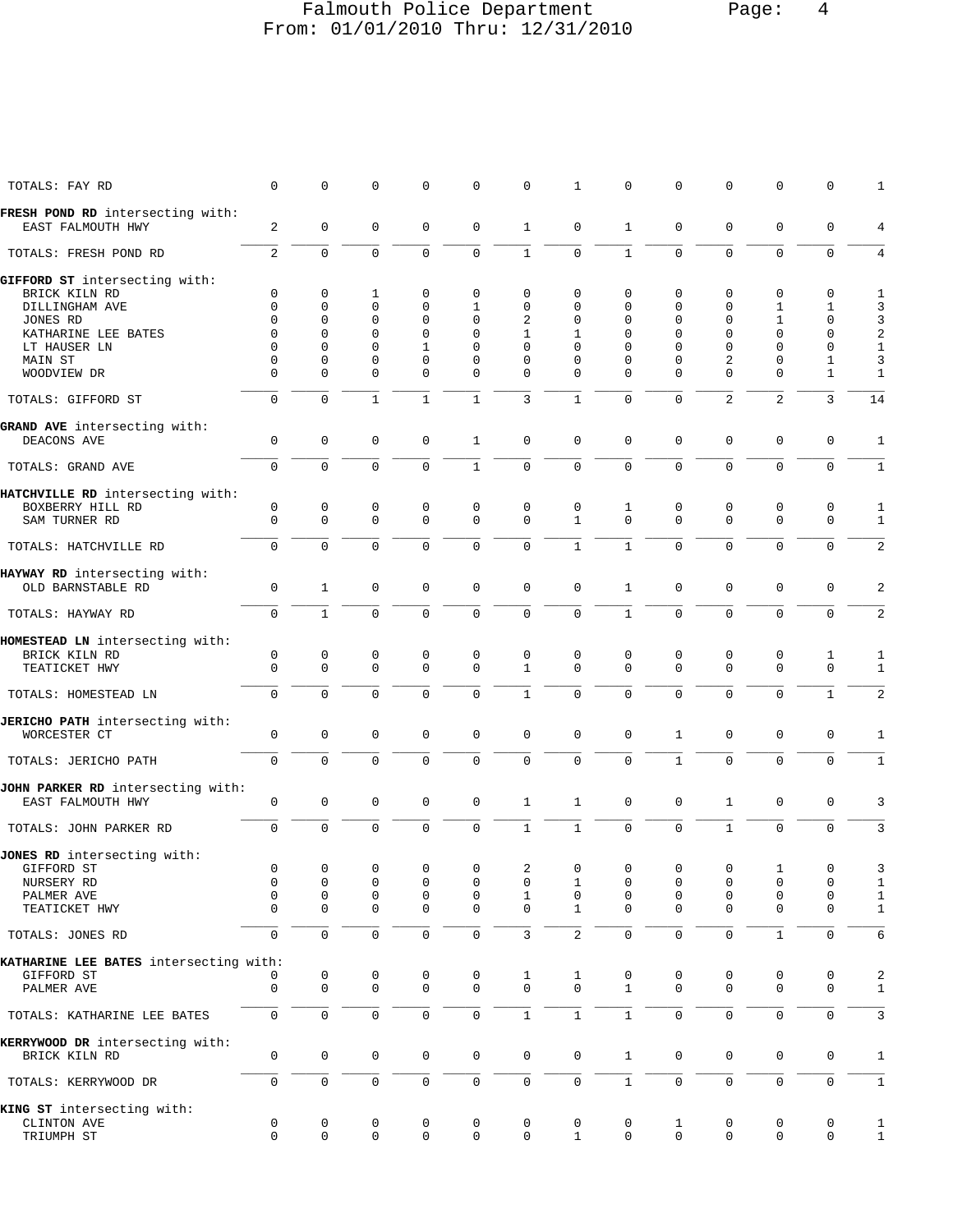#### Falmouth Police Department Page: 4 From: 01/01/2010 Thru: 12/31/2010

| TOTALS: FAY RD                                        | 0                   | 0                   | 0             | 0                   | 0                   | 0                   | 1                   | 0             | 0                   | $\mathbf 0$         | 0                          | 0                 | 1                 |
|-------------------------------------------------------|---------------------|---------------------|---------------|---------------------|---------------------|---------------------|---------------------|---------------|---------------------|---------------------|----------------------------|-------------------|-------------------|
| FRESH POND RD intersecting with:<br>EAST FALMOUTH HWY | 2                   | $\mathbf 0$         | $\mathbf 0$   | 0                   | $\mathbf 0$         | $\mathbf{1}$        | $\mathbf 0$         | $\mathbf{1}$  | $\mathbf 0$         | $\mathbf 0$         | 0                          | 0                 | 4                 |
| TOTALS: FRESH POND RD                                 | 2                   | $\mathbf 0$         | $\mathbf 0$   | 0                   | $\mathbf 0$         | $\mathbf{1}$        | $\mathbf 0$         | $\mathbf{1}$  | $\Omega$            | $\mathbf 0$         | $\Omega$                   | $\mathbf 0$       | 4                 |
| GIFFORD ST intersecting with:                         |                     |                     |               |                     |                     |                     |                     |               |                     |                     |                            |                   |                   |
| BRICK KILN RD                                         | 0                   | 0                   | 1             | 0                   | $\mathbf 0$         | 0                   | $\mathbf 0$         | 0             | 0                   | $\mathbf 0$         | $\mathbf 0$                | 0                 | 1                 |
| DILLINGHAM AVE                                        | $\mathbf 0$         | 0                   | $\mathbf 0$   | 0                   | 1                   | $\mathbf 0$         | $\mathbf 0$         | 0             | 0                   | 0                   | $\mathbf{1}$               | 1                 | 3                 |
|                                                       |                     |                     |               |                     |                     |                     |                     |               |                     |                     |                            |                   |                   |
| JONES RD                                              | $\Omega$            | 0                   | 0             | 0                   | $\mathbf 0$         | 2                   | $\mathbf 0$         | 0             | 0                   | $\mathbf 0$         | 1                          | 0                 | $\mathbf{3}$      |
| KATHARINE LEE BATES                                   | 0                   | 0                   | $\mathbf 0$   | 0                   | $\mathbf 0$         | 1                   | 1                   | 0             | $\mathbf 0$         | $\mathbf 0$         | $\Omega$                   | 0                 | $\sqrt{2}$        |
| LT HAUSER LN                                          | 0                   | 0                   | 0             | 1                   | $\Omega$            | 0                   | $\Omega$            | $\Omega$      | 0                   | $\mathbf 0$         | $\Omega$                   | 0                 | $\mathbf{1}$      |
|                                                       | $\Omega$            |                     |               |                     |                     |                     | $\Omega$            |               |                     |                     |                            |                   |                   |
| MAIN ST<br>WOODVIEW DR                                | $\Omega$            | 0<br>0              | 0<br>$\Omega$ | 0<br>$\Omega$       | 0<br>$\Omega$       | 0<br>$\Omega$       | $\Omega$            | 0<br>$\Omega$ | 0<br>$\Omega$       | 2<br>$\Omega$       | $\mathbf 0$<br>$\mathbf 0$ | 1<br>$\mathbf{1}$ | 3<br>$\mathbf{1}$ |
| TOTALS: GIFFORD ST                                    | $\mathbf 0$         | $\mathbf 0$         | $\mathbf{1}$  | 1                   | $\mathbf{1}$        | 3                   | $\mathbf{1}$        | $\Omega$      | $\mathbf 0$         | 2                   | 2                          | 3                 | 14                |
| GRAND AVE intersecting with:                          |                     |                     |               |                     |                     |                     |                     |               |                     |                     |                            |                   |                   |
| DEACONS AVE                                           | $\mathbf 0$         | $\mathbf 0$         | $\mathbf 0$   | 0                   | 1                   | $\mathbf 0$         | $\mathbf 0$         | $\mathbf 0$   | $\mathbf 0$         | $\mathbf 0$         | $\mathbf 0$                | 0                 | 1                 |
| TOTALS: GRAND AVE                                     | $\mathbf 0$         | $\Omega$            | $\Omega$      | 0                   | $\mathbf{1}$        | $\mathbf 0$         | $\mathbf 0$         | $\mathbf 0$   | $\mathbf 0$         | $\Omega$            | $\mathbf 0$                | $\mathbf 0$       | $\mathbf{1}$      |
| HATCHVILLE RD intersecting with:                      |                     |                     |               |                     |                     |                     |                     |               |                     |                     |                            |                   |                   |
| BOXBERRY HILL RD                                      | 0                   | 0                   | 0             | 0                   | $\mathbf 0$         | 0                   | 0                   | 1             | 0                   | 0                   | 0                          | 0                 | 1                 |
| SAM TURNER RD                                         | 0                   | 0                   | $\Omega$      | 0                   | $\mathbf 0$         | $\mathbf 0$         | $\mathbf{1}$        | $\Omega$      | $\Omega$            | $\mathbf 0$         | $\mathbf 0$                | $\mathbf 0$       | $\mathbf{1}$      |
| TOTALS: HATCHVILLE RD                                 | $\mathbf 0$         | $\mathbf 0$         | $\mathbf 0$   | 0                   | $\mathbf 0$         | $\mathbf 0$         | $\mathbf{1}$        | $\mathbf{1}$  | $\mathbf 0$         | $\mathbf 0$         | $\mathbf 0$                | $\mathbf 0$       | 2                 |
| HAYWAY RD intersecting with:                          |                     |                     |               |                     |                     |                     |                     |               |                     |                     |                            |                   |                   |
| OLD BARNSTABLE RD                                     | $\mathbf 0$         | $\mathbf{1}$        | $\mathbf 0$   | 0                   | $\mathsf 0$         | $\mathbf 0$         | $\mathbf 0$         | $\mathbf{1}$  | $\mathbf 0$         | $\mathbf 0$         | $\mathbf 0$                | $\mathbf 0$       | 2                 |
| TOTALS: HAYWAY RD                                     | $\mathbf 0$         | $\mathbf{1}$        | 0             | 0                   | $\mathbf 0$         | $\mathbf 0$         | $\mathbf 0$         | $\mathbf{1}$  | $\mathbf 0$         | $\mathbf 0$         | $\mathbf 0$                | $\mathbf 0$       | $\sqrt{2}$        |
| HOMESTEAD LN intersecting with:                       |                     |                     |               |                     |                     |                     |                     |               |                     |                     |                            |                   |                   |
| BRICK KILN RD                                         | 0                   | 0                   | 0             | 0                   | $\mathbf 0$         | $\mathbf 0$         | 0                   | 0             | 0                   | 0                   | 0                          | 1                 | 1                 |
| TEATICKET HWY                                         | $\mathbf 0$         | 0                   | $\mathbf 0$   | 0                   | $\mathbf 0$         | $\mathbf{1}$        | $\Omega$            | $\Omega$      | $\Omega$            | $\Omega$            | $\mathbf 0$                | $\mathbf 0$       | $\mathbf{1}$      |
|                                                       |                     |                     |               |                     |                     |                     |                     |               |                     |                     |                            |                   |                   |
| TOTALS: HOMESTEAD LN                                  | $\mathbf 0$         | $\mathbf{0}$        | $\mathbf 0$   | 0                   | $\mathbf 0$         | $\mathbf{1}$        | $\mathbf 0$         | $\Omega$      | $\mathbf 0$         | $\mathbf 0$         | $\mathbf 0$                | $\mathbf{1}$      | 2                 |
| JERICHO PATH intersecting with:                       |                     |                     |               |                     |                     |                     |                     |               |                     |                     |                            |                   |                   |
| WORCESTER CT                                          | $\mathbf 0$         | $\mathbf 0$         | 0             | 0                   | $\mathbf 0$         | $\mathbf 0$         | $\mathbf 0$         | 0             | $\mathbf 1$         | $\mathbf 0$         | $\mathbf 0$                | 0                 | 1                 |
| TOTALS: JERICHO PATH                                  | 0                   | $\mathbf 0$         | 0             | 0                   | $\mathbf 0$         | $\mathbf 0$         | $\mathbf 0$         | 0             | $\mathbf{1}$        | $\mathbf 0$         | $\mathbf 0$                | $\mathbf 0$       | $\mathbf{1}$      |
| JOHN PARKER RD intersecting with:                     |                     |                     |               |                     |                     |                     |                     |               |                     |                     |                            |                   |                   |
| EAST FALMOUTH HWY                                     | $\mathsf{O}\xspace$ | $\mathsf 0$         | $\mathbf 0$   | $\mathsf 0$         | $\mathsf 0$         | $\mathbf{1}$        | $\mathbf{1}$        | $\mathbf 0$   | $\mathbf 0$         | $\mathbf{1}$        | $\mathbf 0$                | $\mathbf 0$       | 3                 |
| TOTALS: JOHN PARKER RD                                | $\mathbf 0$         | $\mathbf 0$         | $\mathbf 0$   | 0                   | $\mathbf 0$         | $\mathbf{1}$        | $\mathbf{1}$        | $\mathbf 0$   | $\mathbf 0$         | $\mathbf{1}$        | $\mathbf 0$                | $\mathbf 0$       | 3                 |
| JONES RD intersecting with:                           |                     |                     |               |                     |                     |                     |                     |               |                     |                     |                            |                   |                   |
|                                                       | 0                   | $\mathsf{O}\xspace$ | 0             |                     |                     |                     | $\mathbf 0$         | $\mathbf 0$   | 0                   | 0                   | 1                          |                   |                   |
| GIFFORD ST                                            |                     |                     |               | 0                   | 0                   | 2                   |                     |               |                     |                     |                            | $\cup$            | 3                 |
| NURSERY RD                                            | 0                   | 0                   | 0             | 0                   | 0                   | 0                   | 1                   | 0             | 0                   | 0                   | 0                          | 0                 | $\mathbf{1}$      |
| PALMER AVE                                            | 0                   | 0                   | $\mathbf 0$   | $\mathsf 0$         | 0                   | $\mathbf 1$         | $\mathsf 0$         | $\mathbf 0$   | $\mathbf 0$         | 0                   | 0                          | $\mathbf 0$       | $\mathbf{1}$      |
| TEATICKET HWY                                         | $\mathbf 0$         | 0                   | $\mathbf 0$   | $\mathsf 0$         | $\mathbf 0$         | $\mathbf 0$         | $\mathbf{1}$        | $\mathbf 0$   | $\mathbf 0$         | $\mathbf 0$         | $\mathbf 0$                | $\mathbf 0$       | $\mathbf{1}$      |
| TOTALS: JONES RD                                      | $\mathbf 0$         | $\mathbf 0$         | $\mathbf 0$   | 0                   | $\mathsf{O}\xspace$ | $\overline{3}$      | 2                   | $\mathbf{0}$  | $\mathbf 0$         | $\mathsf{O}\xspace$ | $\mathbf{1}$               | $\mathbf 0$       | 6                 |
| KATHARINE LEE BATES intersecting with:                |                     |                     |               |                     |                     |                     |                     |               |                     |                     |                            |                   |                   |
| GIFFORD ST                                            | 0                   | 0                   | 0             | 0                   | 0                   | 1                   | 1                   | 0             | 0                   | 0                   | 0                          | 0                 | 2                 |
| PALMER AVE                                            | 0                   | $\mathbf 0$         | $\mathbf 0$   | $\mathbf 0$         | $\mathbf 0$         | $\mathbf 0$         | $\mathbf 0$         | $\mathbf{1}$  | $\mathbf 0$         | $\mathbf 0$         | $\mathbf 0$                | $\mathbf 0$       | 1                 |
| TOTALS: KATHARINE LEE BATES                           | $\mathbf 0$         | $\mathbf 0$         | $\mathbf 0$   | 0                   | $\mathbf 0$         | $\mathbf{1}$        | $\mathbf{1}$        | $\mathbf{1}$  | $\mathsf{O}\xspace$ | $\mathbf 0$         | $\mathbf 0$                | 0                 | 3                 |
| KERRYWOOD DR intersecting with:                       |                     |                     |               |                     |                     |                     |                     |               |                     |                     |                            |                   |                   |
| BRICK KILN RD                                         | 0                   | $\mathbb O$         | $\mathbf 0$   | $\mathsf{O}$        | $\mathbf 0$         | $\mathbf 0$         | $\mathsf 0$         | $\mathbf{1}$  | $\mathbf 0$         | 0                   | $\mathbf 0$                | 0                 | $\mathbf{1}$      |
| TOTALS: KERRYWOOD DR                                  | 0                   | $\mathsf 0$         | $\mathsf 0$   | $\mathsf{O}\xspace$ | $\mathsf 0$         | $\mathsf{O}\xspace$ | $\mathsf{O}\xspace$ | $\mathbf{1}$  | $\mathsf{O}\xspace$ | $\mathsf{O}\xspace$ | $\mathsf 0$                | $\mathsf{O}$      | $\mathbf{1}$      |
| KING ST intersecting with:                            |                     |                     |               |                     |                     |                     |                     |               |                     |                     |                            |                   |                   |
| CLINTON AVE                                           | 0                   | $\mathbf 0$         | 0             | 0                   | 0                   | 0                   | 0                   | 0             | 1                   | 0                   | 0                          | 0                 | 1                 |
| TRIUMPH ST                                            | 0                   | $\mathbf 0$         | 0             | 0                   | $\mathbf 0$         | $\mathsf{O}\xspace$ | $\mathbf{1}$        | $\mathbf 0$   | $\mathsf{O}\xspace$ | $\mathbf 0$         | $\mathsf{O}$               | 0                 | $\mathbf{1}$      |
|                                                       |                     |                     |               |                     |                     |                     |                     |               |                     |                     |                            |                   |                   |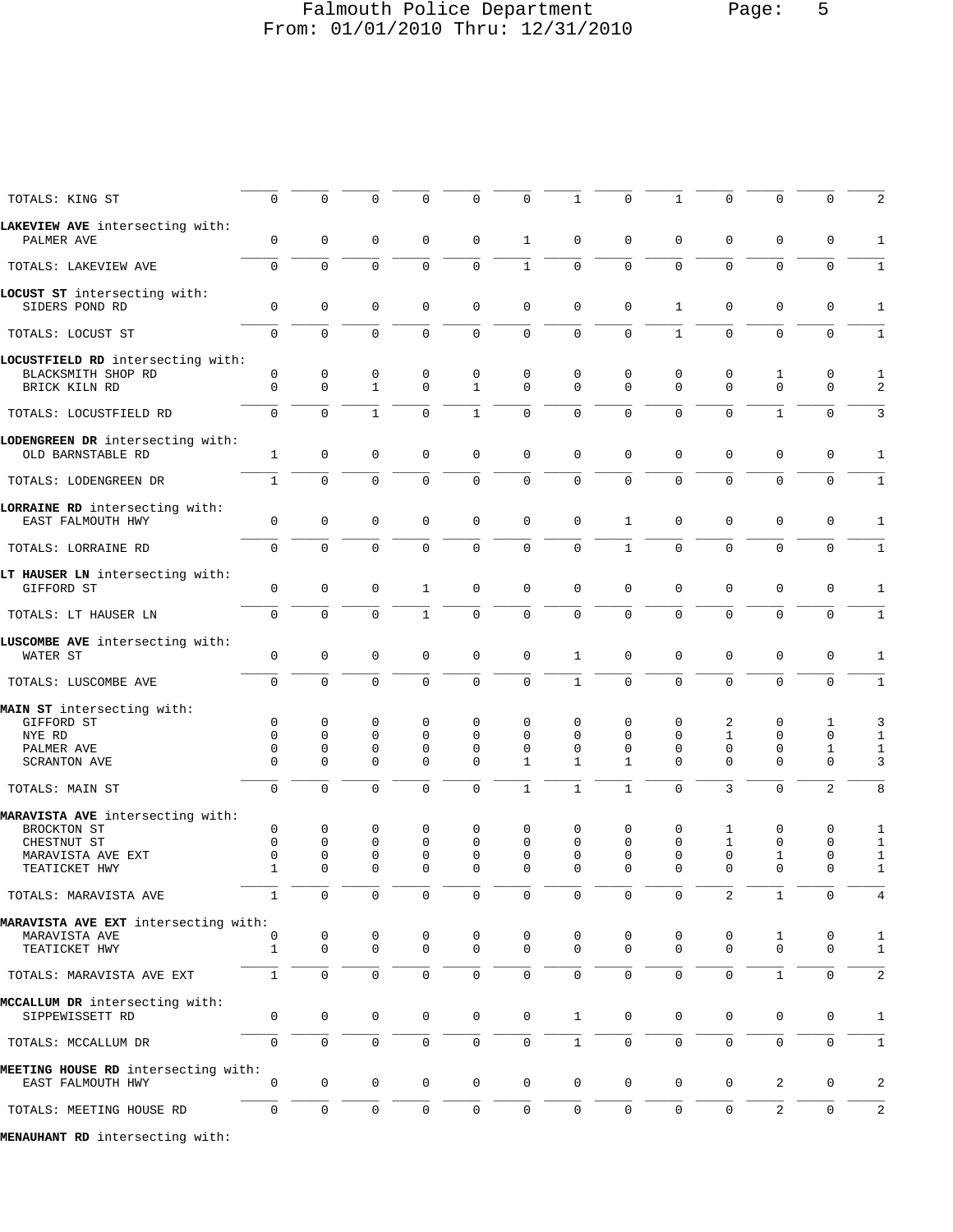## Falmouth Police Department Page: 5 From: 01/01/2010 Thru: 12/31/2010

\_\_\_\_\_ \_\_\_\_\_ \_\_\_\_\_ \_\_\_\_\_ \_\_\_\_\_ \_\_\_\_\_ \_\_\_\_\_ \_\_\_\_\_ \_\_\_\_\_ \_\_\_\_\_ \_\_\_\_\_ \_\_\_\_\_ \_\_\_\_\_

| TOTALS: KING ST                                       | 0                | 0                   | 0                 | 0                | 0                 | 0                       | $\mathbf{1}$  | $\mathsf 0$   | $\mathbf 1$         | 0                | 0                | 0                | 2            |
|-------------------------------------------------------|------------------|---------------------|-------------------|------------------|-------------------|-------------------------|---------------|---------------|---------------------|------------------|------------------|------------------|--------------|
| LAKEVIEW AVE intersecting with:                       |                  |                     |                   |                  |                   |                         |               |               |                     |                  |                  |                  |              |
| PALMER AVE                                            | 0                | $\mathbf 0$         | $\mathbf 0$       | $\mathbf 0$      | 0                 | $\mathbf{1}$            | $\mathbf 0$   | $\mathbf{0}$  | $\mathbf 0$         | $\mathbf 0$      | $\mathbf 0$      | 0                | $\mathbf{1}$ |
| TOTALS: LAKEVIEW AVE                                  | $\Omega$         | $\Omega$            | $\Omega$          | $\Omega$         | $\Omega$          | $\mathbf{1}$            | $\mathsf{O}$  | $\mathbf 0$   | $\Omega$            | $\Omega$         | $\Omega$         | $\mathbf 0$      | $\mathbf{1}$ |
| LOCUST ST intersecting with:                          |                  |                     |                   |                  |                   |                         |               |               |                     |                  |                  |                  |              |
| SIDERS POND RD                                        | $\mathbf 0$      | $\mathbf 0$         | $\Omega$          | $\mathbf 0$      | 0                 | $\mathbf 0$             | $\mathbf 0$   | $\mathbf 0$   | $\mathbf{1}$        | $\mathbf 0$      | $\mathbf 0$      | 0                | $\mathbf{1}$ |
| TOTALS: LOCUST ST                                     | $\mathbf 0$      | $\Omega$            | $\Omega$          | $\mathbf 0$      | $\mathbf 0$       | $\mathbf{0}$            | $\mathsf{O}$  | $\mathbf 0$   | $\mathbf{1}$        | $\Omega$         | $\Omega$         | $\mathbf 0$      | $\mathbf{1}$ |
| LOCUSTFIELD RD intersecting with:                     |                  |                     |                   |                  |                   |                         |               |               |                     |                  |                  |                  |              |
| BLACKSMITH SHOP RD<br>BRICK KILN RD                   | 0<br>$\mathbf 0$ | 0<br>$\mathbf 0$    | 0<br>$\mathbf{1}$ | 0<br>$\mathbf 0$ | 0<br>$\mathbf{1}$ | $\mathbf 0$<br>$\Omega$ | 0<br>$\Omega$ | 0<br>$\Omega$ | 0<br>$\mathbf 0$    | 0<br>$\mathbf 0$ | 1<br>$\mathbf 0$ | 0<br>$\mathbf 0$ | 1<br>2       |
| TOTALS: LOCUSTFIELD RD                                | $\Omega$         | $\Omega$            | $\mathbf{1}$      | $\Omega$         | $\mathbf{1}$      | $\Omega$                | $\Omega$      | $\Omega$      | $\Omega$            | $\Omega$         | $\mathbf{1}$     | $\Omega$         | 3            |
|                                                       |                  |                     |                   |                  |                   |                         |               |               |                     |                  |                  |                  |              |
| LODENGREEN DR intersecting with:<br>OLD BARNSTABLE RD | $\mathbf{1}$     | $\mathbf 0$         | $\mathbf 0$       | $\mathbf 0$      | $\mathbf 0$       | $\mathbf 0$             | $\mathbf 0$   | $\mathsf 0$   | 0                   | $\mathbf 0$      | $\mathbf 0$      | 0                | $\mathbf{1}$ |
| TOTALS: LODENGREEN DR                                 | $\mathbf{1}$     | $\mathbf 0$         | $\mathbf 0$       | $\mathsf{O}$     | $\mathbf 0$       | $\mathbf 0$             | $\mathsf{O}$  | $\mathbf 0$   | $\mathbf 0$         | $\mathbf 0$      | $\mathbf 0$      | $\mathbf 0$      | $\mathbf{1}$ |
| LORRAINE RD intersecting with:                        |                  |                     |                   |                  |                   |                         |               |               |                     |                  |                  |                  |              |
| EAST FALMOUTH HWY                                     | $\mathbf{0}$     | $\mathbf 0$         | $\mathbf 0$       | $\mathbf 0$      | 0                 | $\mathbf 0$             | $\mathbf 0$   | $\mathbf{1}$  | $\mathbf 0$         | $\mathbf 0$      | $\mathbf 0$      | 0                | 1            |
| TOTALS: LORRAINE RD                                   | $\mathbf 0$      | $\mathbf 0$         | $\Omega$          | $\mathbf 0$      | $\mathbf 0$       | $\mathbf{0}$            | $\mathbf 0$   | $\mathbf{1}$  | $\mathbf 0$         | $\mathbf 0$      | $\Omega$         | $\mathbf 0$      | $\mathbf{1}$ |
| LT HAUSER LN intersecting with:<br>GIFFORD ST         | $\mathbf{0}$     | $\mathbf 0$         | $\mathbf 0$       | 1                | 0                 | $\mathbf{0}$            | $\mathbf 0$   | $\mathbf 0$   | $\mathbf 0$         | $\mathbf 0$      | $\mathbf 0$      | 0                | 1            |
| TOTALS: LT HAUSER LN                                  | $\mathbf 0$      | $\Omega$            | $\Omega$          | $\mathbf{1}$     | $\mathbf 0$       | $\Omega$                | $\Omega$      | $\Omega$      | $\Omega$            | $\Omega$         | $\Omega$         | $\mathbf 0$      | $\mathbf{1}$ |
| LUSCOMBE AVE intersecting with:                       |                  |                     |                   |                  |                   |                         |               |               |                     |                  |                  |                  |              |
| WATER ST                                              | $\mathbf 0$      | 0                   | $\mathbf 0$       | $\mathbf 0$      | 0                 | $\mathbf{0}$            | $\mathbf{1}$  | $\mathbf{0}$  | $\mathbf 0$         | $\mathbf 0$      | $\mathbf{0}$     | 0                | $\mathbf 1$  |
| TOTALS: LUSCOMBE AVE                                  | $\mathbf 0$      | $\mathbf{0}$        | $\Omega$          | $\mathbf 0$      | $\mathbf 0$       | $\mathbf 0$             | $\mathbf{1}$  | $\mathbf 0$   | $\mathbf 0$         | $\mathbf 0$      | $\mathbf 0$      | $\mathbf 0$      | $1\,$        |
| MAIN ST intersecting with:                            |                  |                     |                   |                  |                   |                         |               |               |                     |                  |                  |                  |              |
| GIFFORD ST                                            | $\mathbf 0$      | $\mathbf 0$         | 0                 | $\mathbf 0$      | 0                 | $\mathbf 0$             | $\mathbf 0$   | 0             | 0                   | 2                | 0                | 1                | 3            |
| NYE RD                                                | $\Omega$         | $\Omega$            | $\Omega$          | $\Omega$         | $\Omega$          | $\Omega$                | $\Omega$      | $\Omega$      | $\Omega$            | $\mathbf{1}$     | $\mathbf 0$      | 0                | $\mathbf{1}$ |
| PALMER AVE                                            | $\mathbf 0$      | 0                   | $\mathbf 0$       | $\mathbf 0$      | $\Omega$          | $\Omega$                | $\Omega$      | $\Omega$      | $\mathbf 0$         | $\mathbf 0$      | $\mathbf 0$      | $\mathbf 1$      | $\mathbf{1}$ |
| <b>SCRANTON AVE</b>                                   | $\Omega$         | 0                   | $\mathbf 0$       | $\mathbf 0$      | $\Omega$          | $\mathbf 1$             | 1             | $\mathbf{1}$  | $\Omega$            | $\Omega$         | $\mathbf{0}$     | $\mathbf 0$      | 3            |
| TOTALS: MAIN ST                                       | $\mathbf 0$      | $\mathbf{0}$        | $\Omega$          | $\Omega$         | 0                 | $\mathbf{1}$            | $\mathbf{1}$  | $\mathbf{1}$  | $\mathbf 0$         | 3                | $\mathbf 0$      | 2                | 8            |
| MARAVISTA AVE intersecting with:                      |                  |                     |                   |                  |                   |                         |               |               |                     |                  |                  |                  |              |
| BROCKTON ST                                           | $\mathsf 0$      | 0                   | 0                 | 0                | 0                 | 0                       | 0             | 0             | 0                   | 1                | $\mathbf 0$      | 0                | 1            |
| CHESTNUT ST                                           | $\mathbf 0$      | $\mathbf 0$         | $\mathbf 0$       | $\mathbf 0$      | $\Omega$          | $\Omega$                | $\Omega$      | $\mathbf 0$   | $\mathbf 0$         | $\mathbf{1}$     | $\mathbf 0$      | $\mathbf 0$      | $1\,$        |
| MARAVISTA AVE EXT                                     | $\mathsf 0$      | 0                   | $\mathbf 0$       | $\mathbf 0$      | 0                 | $\mathbf 0$             | $\mathbf{0}$  | $\mathbf{0}$  | $\mathbf 0$         | $\mathsf 0$      | $\mathbf{1}$     | 0                | $\mathbf{1}$ |
| TEATICKET HWY                                         | $\mathbf{1}$     | $\Omega$            | $\Omega$          | $\Omega$         | $\Omega$          | $\Omega$                | $\Omega$      | $\Omega$      | $\Omega$            | $\Omega$         | $\Omega$         | $\mathbf 0$      | $\mathbf{1}$ |
| TOTALS: MARAVISTA AVE                                 | $\perp$          | U                   | $\cup$            | ()               | 0                 | $\cup$                  |               | ()            | <b>U</b>            | 2                |                  | $\cup$           | 4            |
| MARAVISTA AVE EXT intersecting with:                  |                  |                     |                   |                  |                   |                         |               |               |                     |                  |                  |                  |              |
| MARAVISTA AVE                                         | 0                | 0                   | 0                 | 0                | 0                 | 0                       | 0             | 0             | 0                   | 0                | 1                | 0                | 1            |
| TEATICKET HWY                                         | 1                | $\mathbf 0$         | 0                 | 0                | 0                 | $\mathbf 0$             | $\mathbf 0$   | $\mathsf 0$   | 0                   | 0                | $\mathbf 0$      | 0                | $\mathbf{1}$ |
| TOTALS: MARAVISTA AVE EXT                             | $\mathbf{1}$     | $\mathsf 0$         | $\mathbf 0$       | 0                | 0                 | $\mathbf 0$             | 0             | $\mathbf 0$   | $\mathsf{O}\xspace$ | $\mathsf 0$      | $\mathbf{1}$     | 0                | $\sqrt{2}$   |
| MCCALLUM DR intersecting with:                        |                  |                     |                   |                  |                   |                         |               |               |                     |                  |                  |                  |              |
| SIPPEWISSETT RD                                       | 0                | $\mathbf 0$         | 0                 | 0                | $\mathsf{O}$      | $\mathbf 0$             | $\mathbf{1}$  | $\mathbf 0$   | $\mathsf{O}$        | $\mathbf 0$      | $\mathbf 0$      | 0                | $1\,$        |
| TOTALS: MCCALLUM DR                                   | $\mathbf 0$      | $\mathsf 0$         | 0                 | 0                | $\mathbf 0$       | $\mathsf 0$             | $\mathbf{1}$  | $\mathsf{O}$  | $\mathsf{O}$        | $\mathsf 0$      | $\mathbf 0$      | 0                | $\mathbf{1}$ |
| MEETING HOUSE RD intersecting with:                   |                  |                     |                   |                  |                   |                         |               |               |                     |                  |                  |                  |              |
| EAST FALMOUTH HWY                                     | $\mathbf 0$      | $\mathbf 0$         | 0                 | 0                | $\mathbf 0$       | $\mathbf 0$             | $\mathbf 0$   | $\mathbf 0$   | $\mathbf 0$         | $\mathbf 0$      | $\overline{a}$   | 0                | $\sqrt{2}$   |
| TOTALS: MEETING HOUSE RD                              | $\mathbf 0$      | $\mathsf{O}\xspace$ | 0                 | 0                | $\mathbf 0$       | $\mathbf 0$             | 0             | $\mathsf{O}$  | $\mathsf{O}$        | 0                | 2                | 0                | 2            |
| MENAUHANT RD intersecting with:                       |                  |                     |                   |                  |                   |                         |               |               |                     |                  |                  |                  |              |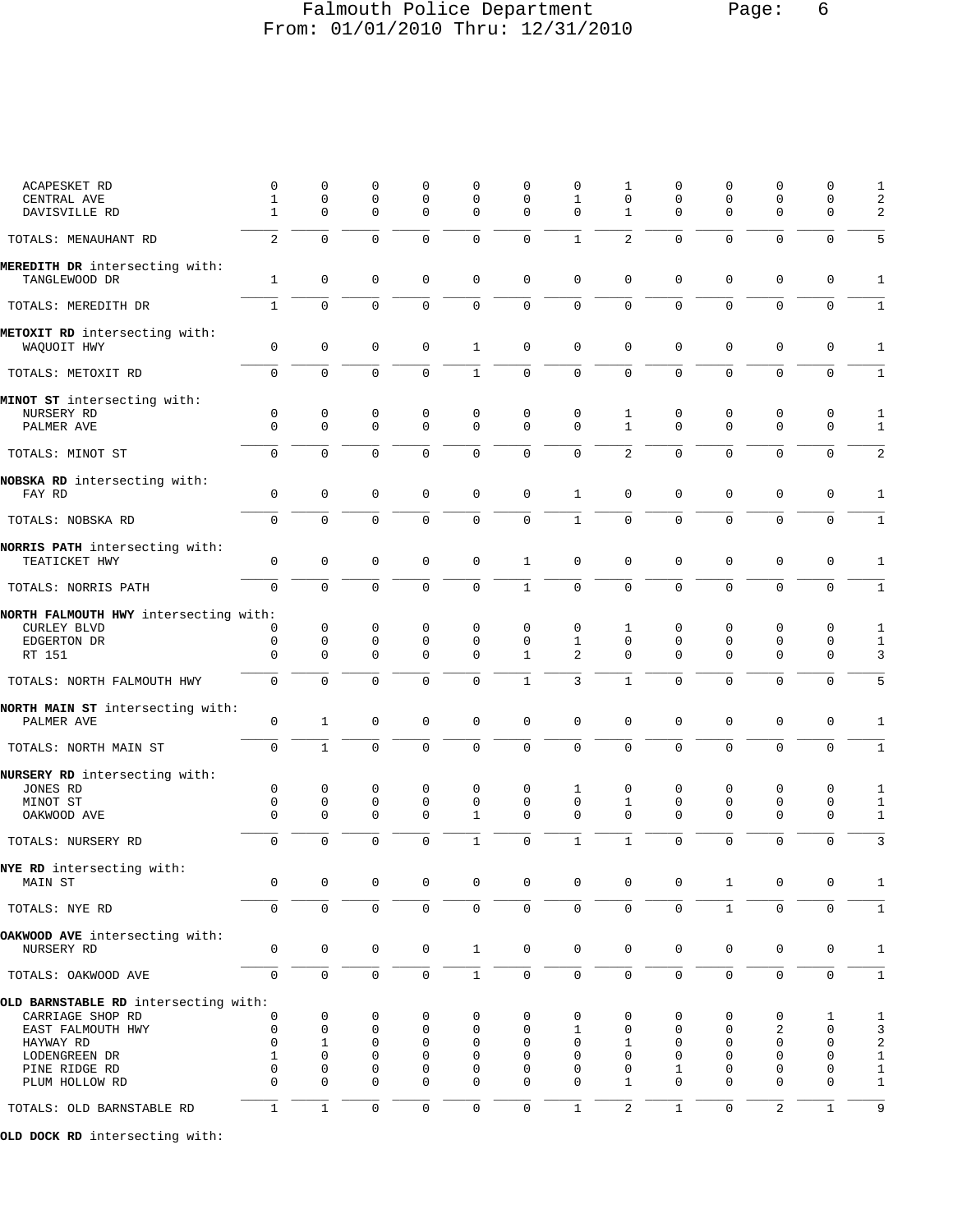## Falmouth Police Department Page: 6 From: 01/01/2010 Thru: 12/31/2010

| ACAPESKET RD                                    | 0                 | 0                | 0                       | 0                       | 0                          | 0                   | 0                        | 1                 | 0                       | 0                        | 0                          | 0                   | 1                            |
|-------------------------------------------------|-------------------|------------------|-------------------------|-------------------------|----------------------------|---------------------|--------------------------|-------------------|-------------------------|--------------------------|----------------------------|---------------------|------------------------------|
| CENTRAL AVE<br>DAVISVILLE RD                    | $\mathbf{1}$<br>1 | $\mathsf 0$<br>0 | $\mathbf 0$<br>$\Omega$ | $\mathbf 0$<br>$\Omega$ | $\mathbf 0$<br>$\mathbf 0$ | 0<br>0              | $\mathbf{1}$<br>$\Omega$ | 0<br>$\mathbf{1}$ | $\mathsf 0$<br>$\Omega$ | $\mathbf{0}$<br>$\Omega$ | $\mathbf 0$<br>$\mathbf 0$ | 0<br>$\mathbf 0$    | 2<br>$\overline{a}$          |
| TOTALS: MENAUHANT RD                            | 2                 | $\mathbf 0$      | $\mathbf 0$             | $\mathbf 0$             | $\mathbf 0$                | $\mathbf 0$         | $\mathbf{1}$             | $\overline{2}$    | $\mathbf 0$             | $\mathbf{0}$             | $\mathbf 0$                | $\mathbf 0$         | 5                            |
| MEREDITH DR intersecting with:                  |                   |                  |                         |                         |                            |                     |                          |                   |                         |                          |                            |                     |                              |
| TANGLEWOOD DR                                   | $\mathbf 1$       | $\mathsf 0$      | $\mathbf 0$             | $\mathbf 0$             | $\mathbf 0$                | $\mathbf 0$         | $\mathbf 0$              | 0                 | $\mathsf 0$             | $\mathbf{0}$             | $\mathbf 0$                | $\mathbf 0$         | 1                            |
| TOTALS: MEREDITH DR                             | $\mathbf{1}$      | $\mathbf 0$      | $\Omega$                | $\mathbf 0$             | $\mathbf 0$                | $\mathbf 0$         | $\Omega$                 | $\Omega$          | $\Omega$                | $\Omega$                 | $\mathbf 0$                | $\mathbf 0$         | $\mathbf{1}$                 |
| METOXIT RD intersecting with:<br>WAQUOIT HWY    | 0                 | $\mathbf 0$      | $\mathbf 0$             | $\mathbf 0$             | $\mathbf{1}$               | 0                   | $\mathbf 0$              | 0                 | 0                       | $\mathbf 0$              | $\mathbf 0$                | $\mathbf 0$         | $\mathbf{1}$                 |
| TOTALS: METOXIT RD                              | $\overline{0}$    | $\mathbf 0$      | $\mathbf 0$             | $\mathbf 0$             | $\mathbf{1}$               | $\mathsf{O}\xspace$ | $\mathbf 0$              | $\overline{0}$    | $\mathbf 0$             | $\mathbf{0}$             | $\mathbf 0$                | $\mathbf 0$         | 1                            |
| MINOT ST intersecting with:                     |                   |                  |                         |                         |                            |                     |                          |                   |                         |                          |                            |                     |                              |
| NURSERY RD<br>PALMER AVE                        | 0<br>$\Omega$     | 0<br>$\Omega$    | 0<br>$\mathbf 0$        | 0<br>$\Omega$           | 0<br>$\mathbf 0$           | 0<br>$\Omega$       | 0<br>$\Omega$            | 1<br>$\mathbf{1}$ | 0<br>$\mathbf 0$        | 0<br>$\Omega$            | 0<br>$\mathbf 0$           | 0<br>$\mathsf 0$    | $\mathbf{1}$<br>$\mathbf{1}$ |
| TOTALS: MINOT ST                                | $\mathbf 0$       | $\mathbf 0$      | $\mathbf 0$             | $\Omega$                | $\mathbf 0$                | $\mathbf 0$         | $\Omega$                 | $\overline{2}$    | $\mathbf 0$             | $\mathbf{0}$             | $\mathbf 0$                | $\mathbf 0$         | $\overline{a}$               |
|                                                 |                   |                  |                         |                         |                            |                     |                          |                   |                         |                          |                            |                     |                              |
| NOBSKA RD intersecting with:<br>FAY RD          | $\mathbf 0$       | $\mathsf 0$      | $\mathbf 0$             | $\mathbf 0$             | $\mathbf 0$                | $\mathsf 0$         | $\mathbf{1}$             | 0                 | $\mathbf 0$             | $\mathbf{0}$             | $\mathsf 0$                | $\mathbf 0$         | $\mathbf{1}$                 |
| TOTALS: NOBSKA RD                               | 0                 | $\mathbf 0$      | $\mathbf 0$             | $\mathbf 0$             | $\mathbf 0$                | $\mathsf 0$         | $\mathbf{1}$             | $\overline{0}$    | $\mathbf 0$             | $\mathbf 0$              | $\mathbf 0$                | $\mathsf 0$         | 1                            |
| NORRIS PATH intersecting with:<br>TEATICKET HWY | 0                 | $\mathbf 0$      | $\mathbf 0$             | $\mathbf 0$             | $\mathbf 0$                | $\mathbf{1}$        | $\mathbf 0$              | 0                 | 0                       | $\mathbf 0$              | $\mathbf 0$                | $\mathbf 0$         | 1                            |
| TOTALS: NORRIS PATH                             | $\Omega$          | $\mathbf 0$      | $\Omega$                | $\Omega$                | $\mathbf 0$                | $\mathbf{1}$        | $\Omega$                 | $\Omega$          | $\Omega$                | $\Omega$                 | $\mathbf 0$                | $\mathbf 0$         | $\mathbf{1}$                 |
| NORTH FALMOUTH HWY intersecting with:           |                   |                  |                         |                         |                            |                     |                          |                   |                         |                          |                            |                     |                              |
| <b>CURLEY BLVD</b>                              | 0                 | $\mathbf 0$      | 0                       | 0                       | 0                          | 0                   | 0                        | 1                 | 0                       | $\mathbf 0$              | 0                          | $\mathbf 0$         | $\mathbf{1}$                 |
| EDGERTON DR                                     | $\mathsf 0$       | $\mathbf 0$      | $\mathbf 0$             | $\mathbf 0$             | $\mathbf 0$                | $\mathbf 0$         | $\mathbf{1}$             | $\mathbf 0$       | 0                       | $\mathbf 0$              | $\mathbf 0$                | $\mathbf 0$         | $\mathbf{1}$                 |
| RT 151                                          | $\mathbf 0$       | $\mathbf 0$      | $\mathbf 0$             | $\mathbf 0$             | $\mathbf 0$                | $\mathbf{1}$        | 2                        | 0                 | $\mathbf 0$             | $\mathbf 0$              | $\mathbf 0$                | $\mathbf 0$         | 3                            |
| TOTALS: NORTH FALMOUTH HWY                      | $\Omega$          | $\Omega$         | $\Omega$                | $\Omega$                | $\Omega$                   | $\mathbf{1}$        | 3                        | $\mathbf{1}$      | $\Omega$                | $\Omega$                 | $\Omega$                   | $\Omega$            | 5                            |
| NORTH MAIN ST intersecting with:<br>PALMER AVE  | $\mathsf 0$       | $\mathbf{1}$     | $\mathbf 0$             | $\mathbf 0$             | $\mathbf 0$                | $\mathbf 0$         | $\mathbf 0$              | 0                 | 0                       | $\mathbf 0$              | $\mathbf 0$                | $\mathsf{O}\xspace$ | $\mathbf{1}$                 |
| TOTALS: NORTH MAIN ST                           | $\mathsf{O}$      | $\mathbf{1}$     | $\mathbf 0$             | $\mathbf 0$             | $\mathbf 0$                | $\mathbf 0$         | $\mathbf 0$              | $\mathbf 0$       | $\mathbf 0$             | $\mathbf 0$              | $\mathbf 0$                | $\mathbf 0$         | $\mathbf{1}$                 |
| NURSERY RD intersecting with:                   |                   |                  |                         |                         |                            |                     |                          |                   |                         |                          |                            |                     |                              |
| JONES RD                                        | 0                 | 0                | 0                       | 0                       | $\mathbf 0$                | 0                   | 1                        | 0                 | 0                       | 0                        | 0                          | 0                   | 1                            |
| MINOT ST                                        | $\mathbf 0$       | $\mathsf 0$      | $\mathbf 0$             | $\mathbf 0$             | $\mathbf 0$                | $\mathbf 0$         | $\mathbf 0$              | $\mathbf 1$       | $\mathbf 0$             | $\mathbf 0$              | $\mathbf 0$                | $\mathbf 0$         | $\mathbf{1}$                 |
| OAKWOOD AVE                                     | $\mathbf 0$       | $\mathbf 0$      | $\mathbf 0$             | $\mathbf 0$             | $\mathbf{1}$               | $\mathbf 0$         | $\Omega$                 | 0                 | $\mathbf 0$             | $\mathbf{0}$             | 0                          | $\mathbf 0$         | $\mathbf{1}$                 |
| TOTALS: NURSERY RD                              | $\mathbf 0$       | $\mathbf 0$      | $\mathbf 0$             | $\Omega$                | $\mathbf{1}$               | $\mathbf 0$         | $\mathbf{1}$             | $\mathbf{1}$      | $\mathbf 0$             | $\mathbf{0}$             | $\mathbf 0$                | $\mathbf 0$         | 3                            |
| NYE RD intersecting with:                       |                   |                  |                         |                         |                            |                     |                          |                   |                         |                          |                            |                     |                              |
| MAIN ST                                         | $\mathsf 0$       | $\mathsf 0$      | $\mathbf 0$             | $\mathbf 0$             | $\mathbf 0$                | $\mathbf 0$         | $\mathbf 0$              | 0                 | 0                       | 1                        | 0                          | 0                   | $\mathbf{1}$                 |
| TOTALS: NYE RD                                  | 0                 | 0                | $\mathsf{O}\xspace$     | 0                       | $\mathsf{O}\xspace$        | $\mathbf 0$         | 0                        | 0                 | $\mathsf{O}$            | $\mathbf{1}$             | $\mathbf 0$                | $\mathbf 0$         | 1                            |
| OAKWOOD AVE intersecting with:<br>NURSERY RD    | $\mathbf 0$       | 0                | $\mathbf 0$             | 0                       | $\mathbf{1}$               | $\mathbf 0$         | $\mathbf 0$              | 0                 | $\mathbf 0$             | 0                        | $\mathbf 0$                | $\mathbf 0$         | $\mathbf{1}$                 |
| TOTALS: OAKWOOD AVE                             | $\mathsf 0$       | $\mathsf{O}$     | $\mathsf{O}\xspace$     | $\mathbf 0$             | $1\,$                      | $\mathsf 0$         | 0                        | $\mathsf 0$       | 0                       | $\mathsf 0$              | $\mathsf{O}$               | $\mathsf{O}\xspace$ | $\mathbf{1}$                 |
| OLD BARNSTABLE RD intersecting with:            |                   |                  |                         |                         |                            |                     |                          |                   |                         |                          |                            |                     |                              |
| CARRIAGE SHOP RD                                | 0                 | 0                | 0                       | 0                       | 0                          | 0                   | 0                        | 0                 | 0                       | 0                        | 0                          | 1                   | $\mathbf{1}$                 |
| EAST FALMOUTH HWY                               | 0                 | $\mathbf 0$      | 0                       | 0                       | $\mathbf 0$                | 0                   | 1                        | 0                 | 0                       | $\mathbf 0$              | 2                          | 0                   | 3                            |
| HAYWAY RD                                       | $\mathbf 0$       | 1                | 0                       | $\mathbf 0$             | $\mathbf 0$                | 0                   | 0                        | 1                 | 0                       | $\mathbf 0$              | $\mathbf 0$                | $\mathbf 0$         | $\overline{a}$               |
| LODENGREEN DR                                   | 1                 | 0                | 0                       | $\mathbf 0$             | $\mathbf 0$                | 0                   | 0                        | 0                 | 0                       | $\mathbf 0$              | $\mathbf 0$                | 0                   | $\mathbf{1}$                 |
| PINE RIDGE RD                                   | 0                 | 0                | 0                       | $\mathbf 0$             | $\mathbf 0$                | 0                   | 0                        | 0                 | 1                       | $\mathbf 0$              | $\mathbf 0$                | 0                   | 1                            |
| PLUM HOLLOW RD                                  | $\Omega$          | $\Omega$         | $\Omega$                | $\mathbf 0$             | $\mathbf 0$                | $\mathbf 0$         | $\Omega$                 | 1                 | $\Omega$                | $\Omega$                 | $\mathbf 0$                | $\mathbf 0$         | $\mathbf{1}$                 |
| TOTALS: OLD BARNSTABLE RD                       | $\mathbf{1}$      | $1\,$            | $\mathsf{O}\xspace$     | $\mathsf{O}\xspace$     | $\mathsf{O}\xspace$        | $\mathbb O$         | $1\,$                    | $\overline{c}$    | $\mathbf{1}$            | $\mathsf{O}\xspace$      | $\overline{c}$             | $\mathbf 1$         | 9                            |
|                                                 |                   |                  |                         |                         |                            |                     |                          |                   |                         |                          |                            |                     |                              |

**OLD DOCK RD** intersecting with: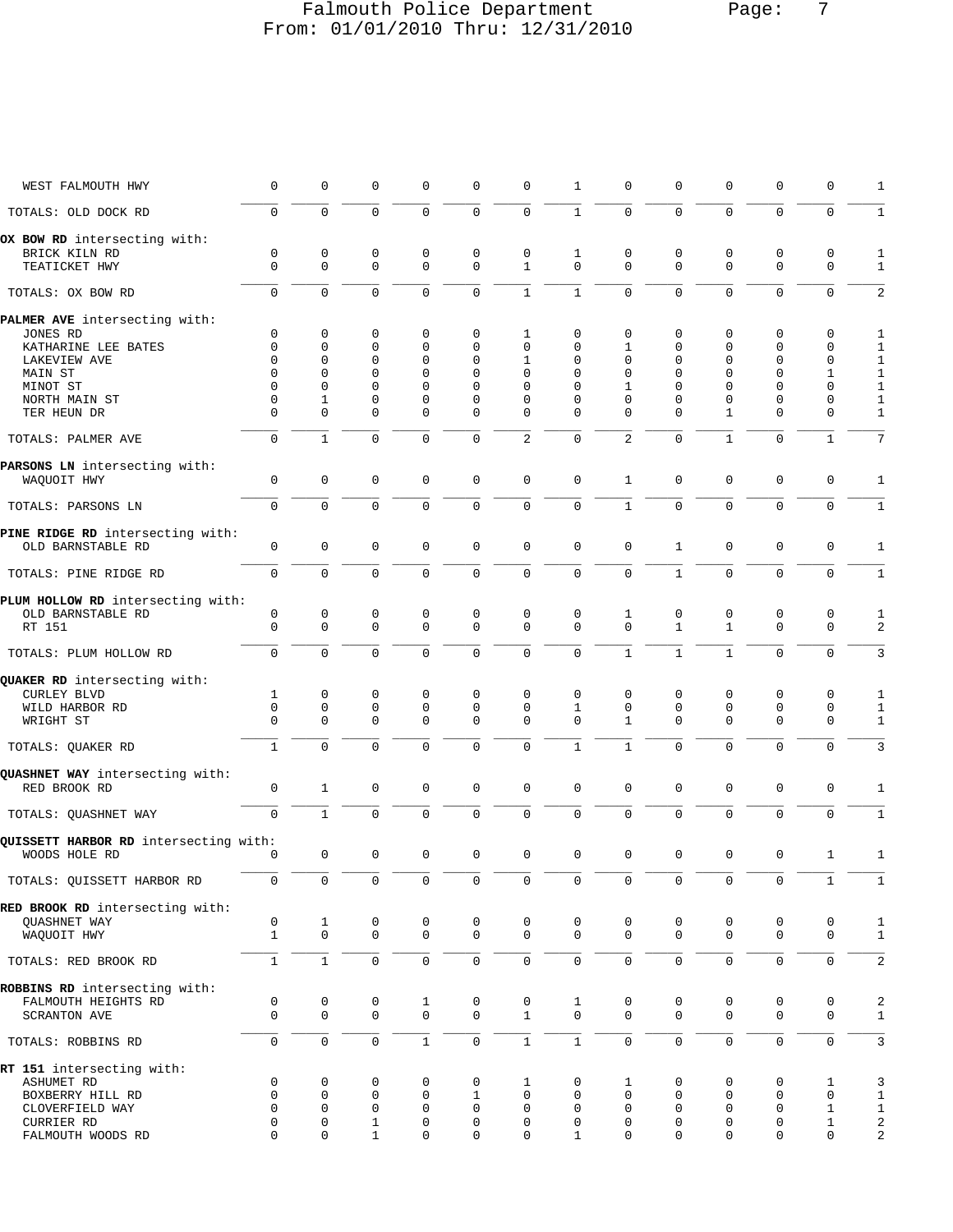### Falmouth Police Department Page: 7 From: 01/01/2010 Thru: 12/31/2010

| WEST FALMOUTH HWY                     | 0                | 0                          | 0                | 0                          | 0                 | 0                           | 1                           | $\mathbf 0$                 | 0                          | 0                            | $\mathbf 0$                | 0                          | 1                            |
|---------------------------------------|------------------|----------------------------|------------------|----------------------------|-------------------|-----------------------------|-----------------------------|-----------------------------|----------------------------|------------------------------|----------------------------|----------------------------|------------------------------|
| TOTALS: OLD DOCK RD                   | $\mathbf 0$      | $\mathbf{0}$               | 0                | 0                          | 0                 | $\mathbf 0$                 | $\mathbf{1}$                | $\mathbf 0$                 | $\mathbf 0$                | $\mathbf 0$                  | $\mathbf 0$                | $\mathbf 0$                | $\mathbf{1}$                 |
| OX BOW RD intersecting with:          |                  |                            |                  |                            |                   |                             |                             |                             |                            |                              |                            |                            |                              |
| BRICK KILN RD<br>TEATICKET HWY        | 0<br>$\mathbf 0$ | $\mathsf 0$<br>$\mathbf 0$ | 0<br>$\mathbf 0$ | $\mathbf 0$<br>$\mathbf 0$ | 0<br>0            | $\mathbf 0$<br>$\mathbf{1}$ | $\mathbf{1}$<br>$\mathbf 0$ | $\mathbf 0$<br>$\mathbf 0$  | $\mathbf 0$<br>$\mathbf 0$ | $\mathbf 0$<br>$\mathbf 0$   | $\mathbf 0$<br>$\mathbf 0$ | $\mathbf 0$<br>$\mathbf 0$ | $\mathbf{1}$<br>$\mathbf{1}$ |
| TOTALS: OX BOW RD                     | 0                | $\Omega$                   | $\mathbf 0$      | $\Omega$                   | 0                 | $\mathbf{1}$                | $\mathbf{1}$                | $\Omega$                    | $\Omega$                   | $\Omega$                     | $\mathbf 0$                | $\mathbf 0$                | 2                            |
| PALMER AVE intersecting with:         |                  |                            |                  |                            |                   |                             |                             |                             |                            |                              |                            |                            |                              |
| JONES RD                              | 0                | 0                          | 0                | 0                          | 0                 | 1                           | $\mathbf 0$                 | $\mathbf 0$                 | 0                          | $\mathbf 0$                  | $\mathbf 0$                | 0                          | $\mathbf{1}$                 |
| KATHARINE LEE BATES                   | $\mathbf 0$      | 0                          | 0                | $\mathbf 0$                | 0                 | 0                           | 0                           | $\mathbf{1}$                | 0                          | $\mathbf 0$                  | 0                          | $\mathbf 0$                | $\mathbf{1}$                 |
| LAKEVIEW AVE<br>MAIN ST               | $\Omega$<br>O    | 0<br>$\Omega$              | 0<br>0           | 0<br>$\Omega$              | 0<br>0            | 1<br>$\Omega$               | 0<br>0                      | $\mathbf 0$<br>$\mathbf{0}$ | 0<br>0                     | $\mathbf{0}$<br>$\mathbf{0}$ | 0<br>$\Omega$              | 0<br>$\mathbf{1}$          | $1\,$<br>$\mathbf 1$         |
| MINOT ST                              | $\Omega$         | 0                          | 0                | $\Omega$                   | $\Omega$          | $\Omega$                    | 0                           | 1                           | $\Omega$                   | $\mathbf 0$                  | 0                          | $\mathbf 0$                | $\mathbf{1}$                 |
| NORTH MAIN ST                         | 0                | 1                          | $\Omega$         | 0                          | 0                 | 0                           | 0                           | $\mathbf{0}$                | 0                          | $\mathbf 0$                  | $\Omega$                   | $\mathbf 0$                | $\mathbf{1}$                 |
| TER HEUN DR                           | $\Omega$         | $\Omega$                   | $\Omega$         | $\Omega$                   | $\Omega$          | $\Omega$                    | 0                           | $\Omega$                    | $\Omega$                   | 1                            | $\Omega$                   | $\mathbf 0$                | $\mathbf{1}$                 |
| TOTALS: PALMER AVE                    | $\mathbf 0$      | $\mathbf{1}$               | $\mathbf 0$      | $\mathbf 0$                | 0                 | $\overline{a}$              | $\mathbf 0$                 | 2                           | $\mathbf 0$                | $\mathbf{1}$                 | $\mathbf 0$                | $\mathbf{1}$               | 7                            |
| PARSONS LN intersecting with:         |                  |                            |                  |                            |                   |                             |                             |                             |                            |                              |                            |                            |                              |
| WAQUOIT HWY                           | $\mathbf 0$      | 0                          | $\mathbf 0$      | $\mathbf 0$                | 0                 | $\mathbf 0$                 | $\mathsf 0$                 | $\mathbf{1}$                | $\mathbf 0$                | $\mathbf 0$                  | $\mathbf 0$                | $\mathbf 0$                | $\mathbf{1}$                 |
| TOTALS: PARSONS LN                    | $\mathbf 0$      | $\Omega$                   | 0                | $\Omega$                   | 0                 | $\mathbf 0$                 | $\mathbf 0$                 | $\mathbf{1}$                | $\mathbf 0$                | $\Omega$                     | $\mathbf 0$                | $\mathbf 0$                | $1\,$                        |
| PINE RIDGE RD intersecting with:      |                  |                            |                  |                            |                   |                             |                             |                             |                            |                              |                            |                            |                              |
| OLD BARNSTABLE RD                     | $\mathbf 0$      | 0                          | $\mathbf 0$      | $\mathbf 0$                | 0                 | $\mathbf 0$                 | $\mathbf 0$                 | $\mathbf 0$                 | $\mathbf{1}$               | $\mathbf 0$                  | $\mathbf 0$                | $\mathbf 0$                | $\mathbf{1}$                 |
| TOTALS: PINE RIDGE RD                 | $\mathbf 0$      | $\Omega$                   | $\Omega$         | $\Omega$                   | 0                 | $\mathbf 0$                 | $\mathbf 0$                 | $\Omega$                    | $\mathbf{1}$               | $\Omega$                     | $\Omega$                   | $\mathbf 0$                | $\mathbf{1}$                 |
| PLUM HOLLOW RD intersecting with:     |                  |                            |                  |                            |                   |                             |                             |                             |                            |                              |                            |                            |                              |
| OLD BARNSTABLE RD                     | 0                | 0                          | 0                | 0                          | 0                 | 0                           | 0                           | 1                           | 0                          | 0                            | 0                          | 0                          | 1                            |
| RT 151                                | $\Omega$         | $\mathbf 0$                | $\mathbf 0$      | $\mathbf 0$                | $\Omega$          | $\mathbf 0$                 | $\mathbf 0$                 | $\Omega$                    | $\mathbf{1}$               | $\mathbf{1}$                 | $\Omega$                   | $\Omega$                   | 2                            |
| TOTALS: PLUM HOLLOW RD                | $\mathbf 0$      | $\mathbf 0$                | $\mathbf 0$      | $\mathbf 0$                | 0                 | $\mathbf 0$                 | $\mathbf 0$                 | $\mathbf{1}$                | $\mathbf{1}$               | $\mathbf{1}$                 | $\mathbf 0$                | $\mathbf 0$                | 3                            |
| QUAKER RD intersecting with:          |                  |                            |                  |                            |                   |                             |                             |                             |                            |                              |                            |                            |                              |
| <b>CURLEY BLVD</b>                    | 1                | 0                          | 0                | $\mathbf 0$                | 0                 | 0                           | $\mathbf 0$                 | $\mathbf 0$                 | $\mathbf 0$                | 0                            | 0                          | 0                          | $\mathbf{1}$                 |
| WILD HARBOR RD                        | $\mathbf 0$      | 0                          | 0                | 0                          | 0                 | 0                           | 1                           | $\mathbf 0$                 | 0                          | $\mathbf{0}$                 | 0                          | $\mathbf 0$                | $\mathbf{1}$                 |
| WRIGHT ST                             | $\Omega$         | $\mathbf 0$                | $\Omega$         | $\Omega$                   | $\Omega$          | $\mathbf 0$                 | $\Omega$                    | 1                           | $\Omega$                   | $\Omega$                     | $\Omega$                   | $\mathbf 0$                | $\mathbf{1}$                 |
| TOTALS: QUAKER RD                     | $\mathbf{1}$     | $\mathbf 0$                | 0                | $\mathbf 0$                | 0                 | $\mathbf 0$                 | $\mathbf{1}$                | $\mathbf{1}$                | $\mathbf 0$                | $\mathbf 0$                  | $\mathbf 0$                | $\mathbf 0$                | 3                            |
| QUASHNET WAY intersecting with:       |                  |                            |                  |                            |                   |                             |                             |                             |                            |                              |                            |                            |                              |
| RED BROOK RD                          | 0                | $\mathbf{1}$               | $\mathbf 0$      | $\mathbf 0$                | $\mathbf 0$       | $\mathbf 0$                 | $\mathbf 0$                 | $\mathbf 0$                 | $\mathbf 0$                | $\mathbf 0$                  | $\mathbf 0$                | $\mathbf 0$                | 1                            |
| TOTALS: QUASHNET WAY                  | $\mathbf 0$      | $\mathbf{1}$               | $\Omega$         | $\mathbf 0$                | 0                 | $\mathbf 0$                 | $\mathbf 0$                 | $\mathbf 0$                 | $\mathbf 0$                | $\Omega$                     | $\Omega$                   | $\mathbf 0$                | $\mathbf{1}$                 |
| QUISSETT HARBOR RD intersecting with: |                  |                            |                  |                            |                   |                             |                             |                             |                            |                              |                            |                            |                              |
| WOODS HOLE RD                         | 0                | $\mathsf 0$                | 0                | 0                          | 0                 | $\mathbf 0$                 | $\mathsf 0$                 | $\mathbf 0$                 | 0                          | $\mathbf{0}$                 | $\mathsf 0$                | $\mathbf{1}$               | $\mathbf{1}$                 |
| TOTALS: QUISSETT HARBOR RD            | 0                | $\mathbf 0$                | $\mathsf 0$      | $\mathbf 0$                | $\mathsf 0$       | $\mathbf 0$                 | $\mathbf 0$                 | $\mathbf 0$                 | $\mathbf 0$                | $\mathbf 0$                  | $\mathbf 0$                | 1                          | $\mathbf{1}$                 |
| RED BROOK RD intersecting with:       |                  |                            |                  |                            |                   |                             |                             |                             |                            |                              |                            |                            |                              |
| QUASHNET WAY                          | 0                | $\mathbf{1}$               | 0                | 0                          | 0                 | 0                           | 0                           | 0                           | 0                          | 0                            | 0                          | 0                          | $\mathbf{1}$                 |
| WAQUOIT HWY                           | $\mathbf{1}$     | $\mathsf{O}$               | $\mathbf 0$      | $\mathbf 0$                | $\mathbf 0$       | $\mathbf 0$                 | $\mathbf 0$                 | $\mathbf 0$                 | $\Omega$                   | $\mathbf 0$                  | $\mathbf 0$                | $\mathbf 0$                | $\mathbf{1}$                 |
| TOTALS: RED BROOK RD                  | $\mathbf{1}$     | $\mathbf{1}$               | 0                | 0                          | 0                 | $\mathbf 0$                 | $\mathbf 0$                 | $\mathsf{O}\xspace$         | $\mathsf{O}\xspace$        | $\mathbf 0$                  | $\mathbf 0$                | 0                          | $\overline{c}$               |
| ROBBINS RD intersecting with:         |                  |                            |                  |                            |                   |                             |                             |                             |                            |                              |                            |                            |                              |
| FALMOUTH HEIGHTS RD                   | 0                | 0                          | 0                | 1                          | 0                 | 0                           | 1                           | 0                           | 0                          | 0                            | 0                          | 0                          | 2                            |
| SCRANTON AVE                          | $\mathbf 0$      | 0                          | 0                | 0                          | 0                 | $\mathbf{1}$                | $\mathbf 0$                 | $\mathbf 0$                 | $\mathbf 0$                | $\mathbf 0$                  | $\mathbf{0}$               | $\mathbf 0$                | $\mathbf{1}$                 |
| TOTALS: ROBBINS RD                    | $\mathsf 0$      | $\mathsf{O}\xspace$        | $\mathsf 0$      | $\mathbf{1}$               | 0                 | $\mathbf{1}$                | $\,1\,$                     | $\mathsf{O}\xspace$         | $\mathsf{O}\xspace$        | $\mathsf{O}\xspace$          | $\mathsf{O}\xspace$        | $\mathsf 0$                | 3                            |
| RT 151 intersecting with:             |                  |                            |                  |                            |                   |                             |                             |                             |                            |                              |                            |                            |                              |
| ASHUMET RD                            | 0                | 0                          | 0                | 0                          | 0                 | 1                           | 0                           | 1                           | 0                          | 0                            | 0                          | 1                          | 3                            |
| BOXBERRY HILL RD<br>CLOVERFIELD WAY   | $\mathbf 0$<br>0 | 0<br>0                     | $\mathbf 0$<br>0 | $\mathbf 0$<br>0           | $\mathbf{1}$<br>0 | $\mathbf 0$<br>0            | $\mathbf 0$<br>0            | $\mathbf 0$<br>$\mathbf 0$  | $\mathbf 0$<br>0           | $\mathbf 0$<br>$\mathbf 0$   | $\mathbf 0$<br>0           | 0<br>1                     | $\mathbf{1}$<br>$\mathbf{1}$ |
| CURRIER RD                            | 0                | 0                          | $\mathbf 1$      | 0                          | 0                 | 0                           | 0                           | $\mathbf 0$                 | $\mathbf 0$                | $\mathbf 0$                  | 0                          | 1                          | $\boldsymbol{2}$             |
| FALMOUTH WOODS RD                     | $\Omega$         | 0                          | $\mathbf 1$      | $\mathbf 0$                | 0                 | $\mathbf 0$                 | $\mathbf{1}$                | $\mathbf 0$                 | 0                          | $\mathbf 0$                  | $\mathbf 0$                | $\mathbf 0$                | $\overline{\mathbf{c}}$      |
|                                       |                  |                            |                  |                            |                   |                             |                             |                             |                            |                              |                            |                            |                              |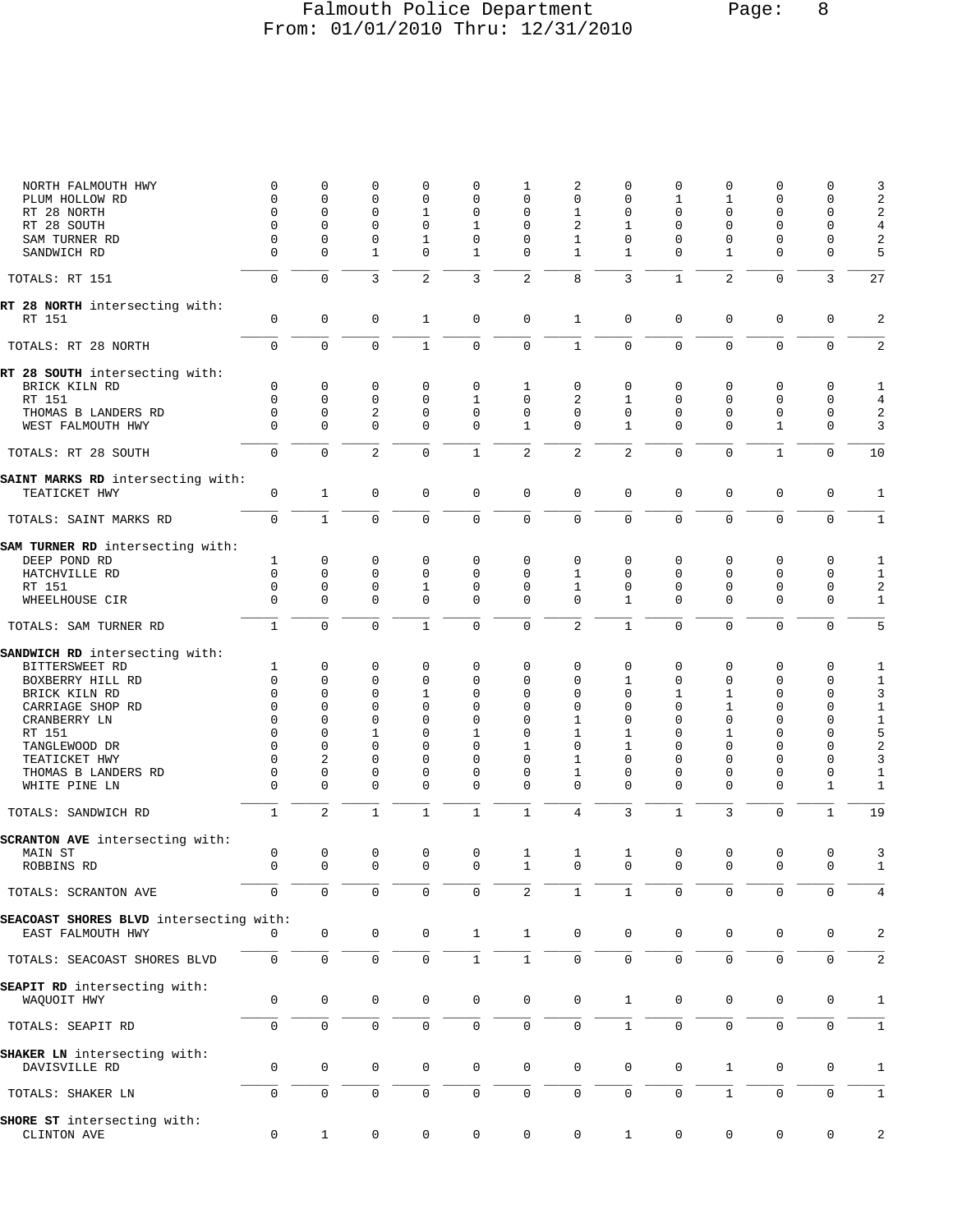### Falmouth Police Department Page: 8 From: 01/01/2010 Thru: 12/31/2010

| NORTH FALMOUTH HWY<br>PLUM HOLLOW RD            | 0<br>0                   | 0<br>$\mathbf 0$        | 0<br>$\mathbf 0$           | $\mathbf 0$<br>$\mathbf 0$  | 0<br>0              | 1<br>0           | 2<br>$\mathbf 0$            | 0<br>$\mathbf 0$  | 0<br>1         | 0<br>1         | 0<br>0            | 0<br>0                     | 3<br>2                    |
|-------------------------------------------------|--------------------------|-------------------------|----------------------------|-----------------------------|---------------------|------------------|-----------------------------|-------------------|----------------|----------------|-------------------|----------------------------|---------------------------|
| RT 28 NORTH                                     | 0                        | $\mathbf 0$             | 0                          | $\mathbf{1}$                | 0                   | $\Omega$         | 1                           | $\mathbf 0$       | 0              | $\Omega$       | $\Omega$          | 0                          | $\sqrt{2}$                |
| RT 28 SOUTH                                     | $\Omega$                 | $\mathbf 0$             | $\mathbf 0$                | $\mathbf 0$                 | 1                   | $\Omega$         | 2                           | 1                 | 0              | $\Omega$       | 0                 | $\mathbf 0$                | $\overline{4}$            |
| SAM TURNER RD                                   | 0                        | $\mathbf 0$             | $\mathbf 0$                | 1                           | 0                   | 0                | 1                           | $\mathbf 0$       | 0              | 0              | 0                 | 0                          | $\sqrt{2}$                |
| SANDWICH RD                                     | $\Omega$                 | $\Omega$                | 1                          | $\Omega$                    | 1                   | 0                | 1                           | 1                 | $\Omega$       | 1              | $\Omega$          | $\Omega$                   | 5                         |
| TOTALS: RT 151                                  | $\mathbf 0$              | $\mathbf 0$             | 3                          | 2                           | 3                   | $\overline{a}$   | 8                           | 3                 | $\mathbf{1}$   | $\overline{2}$ | 0                 | 3                          | 27                        |
| RT 28 NORTH intersecting with:                  |                          |                         |                            |                             |                     |                  |                             |                   |                |                |                   |                            |                           |
| RT 151                                          | $\mathbf 0$              | $\mathbf 0$             | $\mathbf 0$                | 1                           | 0                   | $\mathbf 0$      | $\mathbf{1}$                | $\mathbf 0$       | 0              | $\mathbf 0$    | $\mathbf{0}$      | $\mathbf 0$                | 2                         |
| TOTALS: RT 28 NORTH                             | $\mathbf 0$              | $\mathbf 0$             | $\mathbf 0$                | $\mathbf{1}$                | 0                   | $\mathbf 0$      | $\mathbf{1}$                | $\mathbf 0$       | $\overline{0}$ | 0              | $\mathbf 0$       | $\mathbf 0$                | $\sqrt{2}$                |
| RT 28 SOUTH intersecting with:<br>BRICK KILN RD | 0                        | $\mathbf 0$             | 0                          | $\mathbf 0$                 | 0                   | 1                | 0                           | $\mathbf 0$       | 0              | 0              | 0                 | $\mathbf 0$                | 1                         |
| RT 151                                          | $\mathbf 0$              | $\mathbf 0$             | 0                          | $\mathbf 0$                 | 1                   | 0                | 2                           | 1                 | 0              | 0              | 0                 | $\mathbf 0$                | 4                         |
| THOMAS B LANDERS RD                             | $\Omega$                 | $\mathbf 0$             | $\overline{2}$             | $\mathsf 0$                 | 0                   | $\mathbf 0$      | 0                           | $\mathbf 0$       | 0              | 0              | 0                 | $\mathbf 0$                | $\overline{2}$            |
| WEST FALMOUTH HWY                               | $\Omega$                 | $\Omega$                | $\mathbf 0$                | $\mathbf 0$                 | 0                   | $\mathbf{1}$     | $\mathbf 0$                 | 1                 | 0              | $\Omega$       | $\mathbf{1}$      | $\mathbf 0$                | 3                         |
| TOTALS: RT 28 SOUTH                             | $\mathbf 0$              | $\mathbf 0$             | $\sqrt{2}$                 | $\mathbf 0$                 | $\mathbf{1}$        | $\overline{2}$   | $\sqrt{2}$                  | $\overline{2}$    | 0              | $\mathbf 0$    | $1\,$             | $\mathbf 0$                | 10                        |
| SAINT MARKS RD intersecting with:               |                          |                         |                            |                             |                     |                  |                             |                   |                |                |                   |                            |                           |
| TEATICKET HWY                                   | 0                        | $\mathbf{1}$            | $\mathbf 0$                | $\mathbf 0$                 | $\mathbf 0$         | $\mathbf 0$      | $\mathsf 0$                 | $\mathbf 0$       | 0              | $\mathsf 0$    | $\mathsf 0$       | $\mathbf 0$                | 1                         |
| TOTALS: SAINT MARKS RD                          | $\mathbf 0$              | $\mathbf{1}$            | $\mathbf 0$                | $\mathbf 0$                 | 0                   | $\mathbf 0$      | $\mathsf 0$                 | $\mathbf 0$       | 0              | $\mathbf 0$    | $\mathbf 0$       | $\mathbf 0$                | $1\,$                     |
| SAM TURNER RD intersecting with:                |                          |                         |                            |                             |                     |                  |                             |                   |                |                |                   |                            |                           |
| DEEP POND RD                                    | 1                        | 0                       | 0                          | $\mathbf 0$                 | 0                   | 0                | 0                           | 0                 | 0              | 0              | 0                 | 0                          | 1                         |
| HATCHVILLE RD                                   | $\mathbf 0$              | $\mathbf 0$             | $\mathbf 0$                | $\mathbf 0$                 | 0                   | $\mathbf 0$      | $\mathbf{1}$                | $\mathbf 0$       | 0              | $\mathbf 0$    | 0                 | $\mathbf 0$                | $\mathbf{1}$              |
| RT 151<br>WHEELHOUSE CIR                        | $\mathbf{0}$<br>$\Omega$ | $\mathbf 0$<br>$\Omega$ | $\mathsf 0$<br>$\mathbf 0$ | $\mathbf{1}$<br>$\mathbf 0$ | 0<br>$\mathbf{0}$   | 0<br>$\mathbf 0$ | $\mathbf{1}$<br>$\mathbf 0$ | 0<br>$\mathbf{1}$ | 0<br>$\Omega$  | 0<br>$\Omega$  | 0<br>$\mathbf{0}$ | $\mathbf 0$<br>$\mathbf 0$ | $\sqrt{2}$<br>$\mathbf 1$ |
| TOTALS: SAM TURNER RD                           | $\mathbf{1}$             | $\Omega$                | $\mathbf 0$                | $\mathbf{1}$                | $\mathbf{0}$        | $\mathbf 0$      | $\overline{2}$              | $\mathbf{1}$      | 0              | $\mathbf 0$    | $\mathbf 0$       | $\mathbf 0$                | 5                         |
| SANDWICH RD intersecting with:                  |                          |                         |                            |                             |                     |                  |                             |                   |                |                |                   |                            |                           |
| BITTERSWEET RD                                  | 1                        | $\mathbf 0$             | 0                          | $\mathbf 0$                 | 0                   | 0                | $\mathbf 0$                 | $\mathbf 0$       | 0              | 0              | 0                 | $\mathbf 0$                | 1                         |
| BOXBERRY HILL RD                                | $\mathbf 0$              | 0                       | 0                          | $\mathbf 0$                 | 0                   | 0                | 0                           | 1                 | 0              | 0              | 0                 | 0                          | $1\,$                     |
| BRICK KILN RD                                   | $\Omega$                 | 0                       | 0                          | $\mathbf{1}$                | 0                   | 0                | 0                           | $\mathbf 0$       | 1              | 1              | 0                 | 0                          | 3                         |
| CARRIAGE SHOP RD                                | $\mathbf 0$              | $\Omega$                | $\mathbf 0$                | $\mathbf 0$                 | 0                   | 0                | 0                           | 0                 | 0              | 1              | $\Omega$          | $\mathbf 0$                | $\,1\,$                   |
| CRANBERRY LN                                    | 0<br>$\Omega$            | 0<br>$\Omega$           | 0                          | $\mathbf 0$<br>$\Omega$     | 0                   | 0<br>$\Omega$    | 1                           | $\mathbf 0$       | 0<br>$\Omega$  | 0              | 0<br>$\Omega$     | 0<br>$\Omega$              | $1\,$                     |
| RT 151<br>TANGLEWOOD DR                         | $\Omega$                 | $\mathbf 0$             | 1<br>0                     | $\Omega$                    | 1<br>$\Omega$       | 1                | 1<br>0                      | 1<br>$\mathbf{1}$ | 0              | 1<br>$\Omega$  | $\Omega$          | $\Omega$                   | 5<br>$\sqrt{2}$           |
| TEATICKET HWY                                   | 0                        | 2                       | 0                          | $\mathbf 0$                 | 0                   | 0                | 1                           | $\mathbf 0$       | 0              | $\Omega$       | 0                 | 0                          | 3                         |
| THOMAS B LANDERS RD                             | 0                        | $\mathbf 0$             | 0                          | 0                           | 0                   | 0                | 1                           | 0                 | 0              | 0              | 0                 | 0                          | $1\,$                     |
| WHITE PINE LN                                   | $\Omega$                 | $\mathbf 0$             | $\mathbf 0$                | $\mathbf 0$                 | $\mathbf{0}$        | $\mathbf 0$      | $\mathbf 0$                 | $\Omega$          | $\Omega$       | $\Omega$       | 0                 | $\mathbf{1}$               | $1\,$                     |
| TOTALS: SANDWICH RD                             | $\mathbf{1}$             | 2                       | $\mathbf{1}$               | $\mathbf{1}$                | $\mathbf{1}$        | $\mathbf{1}$     | $\overline{4}$              | 3                 | $\mathbf{1}$   | $\overline{3}$ | $\mathbf 0$       | $\mathbf{1}$               | 19                        |
| SCRANTON AVE intersecting with:                 |                          |                         |                            |                             |                     |                  |                             |                   |                |                |                   |                            |                           |
| MAIN ST                                         | 0                        | $\mathbf 0$             | 0                          | 0                           | 0                   | 1                | $\mathbf{1}$                | $\mathbf{1}$      | 0              | $\mathsf 0$    | $\mathsf 0$       | 0                          | 3                         |
| ROBBINS RD                                      | $\cap$                   | $\cap$                  | $\cap$                     | $\Omega$                    | $\cap$              | 1                | $\cap$                      | $\cap$            | $\cap$         | $\cap$         | $\cap$            | $\cap$                     | $\mathbf{1}$              |
| TOTALS: SCRANTON AVE                            | $\Omega$                 | $\Omega$                | 0                          | 0                           | 0                   | $\overline{2}$   | $\mathbf{1}$                | $\mathbf{1}$      | $\Omega$       | $\Omega$       | $\Omega$          | $\Omega$                   | 4                         |
| SEACOAST SHORES BLVD intersecting with:         |                          |                         |                            |                             |                     |                  |                             |                   |                |                |                   |                            |                           |
| EAST FALMOUTH HWY                               | $\Omega$                 | $\mathbf 0$             | 0                          | $\mathsf{O}$                | $\mathbf{1}$        | $\mathbf{1}$     | $\mathsf 0$                 | $\mathbf 0$       | 0              | 0              | $\mathsf 0$       | $\mathbf 0$                | 2                         |
| TOTALS: SEACOAST SHORES BLVD                    | $\mathbf 0$              | $\mathsf 0$             | $\mathsf{O}\xspace$        | $\mathsf 0$                 | $\mathbf{1}$        | $\mathbf{1}$     | $\mathsf 0$                 | $\mathbf 0$       | $\overline{0}$ | $\mathbf 0$    | $\mathsf 0$       | $\mathbf 0$                | $\overline{2}$            |
| SEAPIT RD intersecting with:                    |                          |                         |                            |                             |                     |                  |                             |                   |                |                |                   |                            |                           |
| WAQUOIT HWY                                     | 0                        | $\mathbf 0$             | $\mathbf 0$                | $\mathbf 0$                 | $\mathbf 0$         | $\mathbf 0$      | $\mathbf 0$                 | $\mathbf{1}$      | 0              | $\mathbf 0$    | 0                 | 0                          | 1                         |
| TOTALS: SEAPIT RD                               | $\mathbf 0$              | $\mathbf 0$             | $\mathsf 0$                | $\mathsf 0$                 | 0                   | $\mathsf 0$      | $\mathsf 0$                 | $\mathbf{1}$      | 0              | 0              | $\mathbf 0$       | $\mathbf 0$                | 1                         |
| SHAKER LN intersecting with:                    |                          |                         |                            |                             |                     |                  |                             |                   |                |                |                   |                            |                           |
| DAVISVILLE RD                                   | 0                        | $\mathbf 0$             | $\mathsf 0$                | 0                           | 0                   | $\mathbf 0$      | $\mathsf 0$                 | $\mathbf 0$       | 0              | $\mathbf{1}$   | 0                 | 0                          | 1                         |
| TOTALS: SHAKER LN                               | $\mathbf 0$              | $\mathbf 0$             | $\mathsf{O}\xspace$        | $\mathsf 0$                 | $\mathsf{O}\xspace$ | $\mathbf 0$      | $\mathbf 0$                 | $\mathbf 0$       | $\overline{0}$ | $\mathbf{1}$   | $\mathbf 0$       | $\mathbf 0$                | 1                         |
| SHORE ST intersecting with:                     |                          |                         |                            |                             |                     |                  |                             |                   |                |                |                   |                            |                           |
| CLINTON AVE                                     | 0                        | $\mathbf{1}$            | 0                          | 0                           | 0                   | 0                | 0                           | $\mathbf{1}$      | 0              | 0              | 0                 | 0                          | 2                         |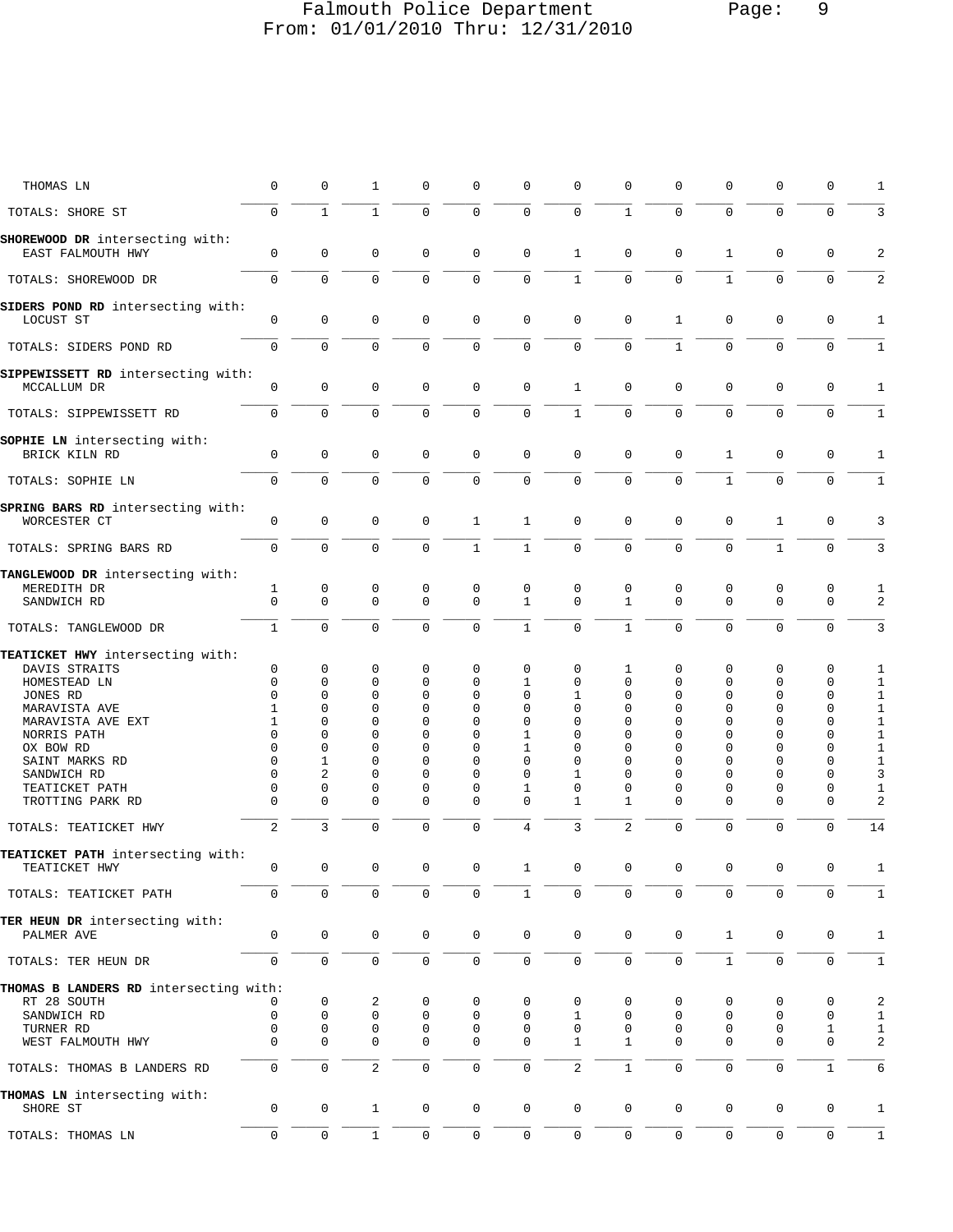## Falmouth Police Department Page: 9 From: 01/01/2010 Thru: 12/31/2010

| THOMAS LN                                            | $\mathbf 0$      | 0                   | 1                   | $\mathbf 0$      | 0                | 0                 | 0                | 0                 | 0             | 0                | 0                 | 0                   | 1                   |
|------------------------------------------------------|------------------|---------------------|---------------------|------------------|------------------|-------------------|------------------|-------------------|---------------|------------------|-------------------|---------------------|---------------------|
| TOTALS: SHORE ST                                     | $\Omega$         | $\mathbf{1}$        | $\mathbf{1}$        | $\mathbf 0$      | $\mathbf 0$      | $\mathsf 0$       | $\mathbf 0$      | $\mathbf{1}$      | $\Omega$      | $\mathbf 0$      | $\mathbf 0$       | $\mathbf 0$         | 3                   |
| SHOREWOOD DR intersecting with:<br>EAST FALMOUTH HWY | 0                | $\mathbf 0$         | $\mathbf 0$         | 0                | 0                | $\mathbf 0$       | $\mathbf{1}$     | $\mathbf 0$       | 0             | $\mathbf{1}$     | $\mathsf 0$       | 0                   | 2                   |
| TOTALS: SHOREWOOD DR                                 | $\mathbf 0$      | $\mathbf 0$         | $\mathbf 0$         | 0                | 0                | $\mathbf 0$       | $\mathbf{1}$     | $\mathbf 0$       | 0             | $\mathbf{1}$     | $\mathbf 0$       | $\mathbf 0$         | $\overline{2}$      |
| SIDERS POND RD intersecting with:                    |                  |                     |                     |                  |                  |                   |                  |                   |               |                  |                   |                     |                     |
| LOCUST ST                                            | $\mathbf 0$      | $\mathsf 0$         | $\mathbf 0$         | $\mathbf 0$      | $\mathbf{0}$     | $\mathbf 0$       | $\mathsf 0$      | $\mathbf 0$       | $\mathbf{1}$  | $\mathsf 0$      | $\mathbf{0}$      | $\mathbf 0$         | $\mathbf{1}$        |
| TOTALS: SIDERS POND RD                               | $\mathbf 0$      | $\mathbf 0$         | $\mathbf 0$         | $\mathbf 0$      | $\mathbf{0}$     | $\mathbf 0$       | $\mathsf 0$      | 0                 | $\mathbf{1}$  | $\mathbf 0$      | 0                 | $\mathbf 0$         | $1\,$               |
| SIPPEWISSETT RD intersecting with:<br>MCCALLUM DR    | $\mathbf 0$      | $\mathbf 0$         | $\mathbf 0$         | $\mathbf 0$      | $\mathbf 0$      | $\mathbf 0$       | $\mathbf{1}$     | $\mathbf 0$       | 0             | $\mathbf 0$      | $\mathbf{0}$      | $\mathbf 0$         | 1                   |
| TOTALS: SIPPEWISSETT RD                              | $\mathbf 0$      | $\mathbf 0$         | $\mathbf 0$         | $\mathbf 0$      | 0                | $\mathbf 0$       | $1\,$            | $\mathbf 0$       | 0             | $\mathbf 0$      | $\mathbf 0$       | $\mathbf 0$         | $\mathbf{1}$        |
| SOPHIE LN intersecting with:<br>BRICK KILN RD        | $\mathbf 0$      | $\mathbf 0$         | $\mathbf 0$         | $\mathbf 0$      | 0                | $\mathbf 0$       | $\mathsf 0$      | $\mathbf 0$       | 0             | $\mathbf{1}$     | $\mathsf 0$       | $\mathbf 0$         | 1                   |
| TOTALS: SOPHIE LN                                    | $\mathbf 0$      | $\Omega$            | $\mathbf 0$         | $\mathbf 0$      | $\mathbf 0$      | $\mathbf 0$       | $\mathbf 0$      | $\Omega$          | $\Omega$      | $\mathbf{1}$     | $\mathbf 0$       | $\mathbf 0$         | $\mathbf{1}$        |
| SPRING BARS RD intersecting with:<br>WORCESTER CT    | 0                | 0                   | $\mathsf 0$         | $\mathbf 0$      | 1                | $\mathbf{1}$      | 0                | $\mathbf 0$       | 0             | 0                | $\mathbf 1$       | $\mathbf 0$         | 3                   |
| TOTALS: SPRING BARS RD                               | $\mathbf 0$      | $\mathbf 0$         | $\mathsf 0$         | $\mathbf 0$      | $\mathbf{1}$     | $\mathbf{1}$      | $\mathsf 0$      | $\mathbf 0$       | 0             | $\mathbf 0$      | $1\,$             | $\mathbf 0$         | 3                   |
| TANGLEWOOD DR intersecting with:                     |                  |                     |                     |                  |                  |                   |                  |                   |               |                  |                   |                     |                     |
| MEREDITH DR<br>SANDWICH RD                           | 1<br>$\mathbf 0$ | 0<br>$\mathbf 0$    | 0<br>$\mathbf 0$    | 0<br>$\mathbf 0$ | 0<br>$\mathbf 0$ | 0<br>$\mathbf{1}$ | 0<br>$\mathbf 0$ | 0<br>$\mathbf{1}$ | 0<br>$\Omega$ | 0<br>$\mathbf 0$ | 0<br>$\mathbf{0}$ | 0<br>$\mathbf 0$    | 1<br>$\overline{2}$ |
| TOTALS: TANGLEWOOD DR                                | $\mathbf{1}$     | $\Omega$            | $\mathbf 0$         | $\mathbf 0$      | $\mathbf 0$      | $\mathbf{1}$      | $\mathbf 0$      | $\mathbf{1}$      | $\Omega$      | $\mathbf 0$      | $\Omega$          | $\Omega$            | 3                   |
| TEATICKET HWY intersecting with:                     |                  |                     |                     |                  |                  |                   |                  |                   |               |                  |                   |                     |                     |
| DAVIS STRAITS                                        | 0                | 0                   | 0                   | 0                | 0                | 0                 | 0                | 1                 | 0             | 0                | 0                 | 0                   | 1                   |
| HOMESTEAD LN                                         | 0                | 0                   | 0                   | 0                | 0                | 1                 | 0                | 0                 | 0             | $\Omega$         | 0                 | 0                   | 1                   |
| JONES RD                                             | $\Omega$         | $\Omega$            | 0                   | $\mathbf 0$      | 0                | 0                 | 1                | 0                 | 0             | 0                | 0                 | 0                   | $1\,$               |
| MARAVISTA AVE                                        | 1                | $\Omega$            | $\Omega$            | $\Omega$         | 0                | 0                 | 0                | 0                 | $\Omega$      | $\Omega$         | $\Omega$          | 0                   | 1                   |
|                                                      |                  |                     |                     |                  |                  |                   |                  |                   |               |                  |                   |                     |                     |
| MARAVISTA AVE EXT                                    | 1                | $\Omega$            | $\Omega$            | $\Omega$         | $\Omega$         | 0                 | 0                | 0                 | $\Omega$      | $\Omega$         | $\Omega$          | 0                   | $1\,$               |
| NORRIS PATH                                          | $\Omega$         | $\mathbf 0$         | 0                   | $\Omega$         | $\Omega$         | 1                 | 0                | 0                 | $\Omega$      | $\Omega$         | $\Omega$          | 0                   | $\,1\,$             |
|                                                      | $\Omega$         | 0                   | 0                   | $\mathbf 0$      | 0                | 1                 | 0                | 0                 | 0             | 0                | 0                 | 0                   | $1\,$               |
| OX BOW RD                                            |                  |                     |                     |                  |                  |                   |                  |                   |               |                  |                   |                     |                     |
| SAINT MARKS RD                                       | $\Omega$         | 1                   | 0                   | $\mathbf 0$      | 0                | 0                 | 0                | 0                 | $\Omega$      | $\Omega$         | $\Omega$          | 0                   | $1\,$               |
| SANDWICH RD                                          | 0                | $\overline{2}$      | 0                   | $\mathbf{0}$     | 0                | $\mathbf 0$       | 1                | 0                 | 0             | $\Omega$         | $\Omega$          | $\mathbf 0$         | 3                   |
|                                                      | $\Omega$         | 0                   | 0                   | $\mathbf 0$      | 0                | 1                 | 0                | 0                 | 0             | 0                | 0                 | 0                   |                     |
| TEATICKET PATH                                       |                  |                     |                     |                  |                  |                   |                  |                   |               |                  |                   |                     | 1                   |
| TROTTING PARK RD                                     | $\Omega$         | $\Omega$            | $\Omega$            | $\Omega$         | 0                | $\mathbf 0$       | $\mathbf{1}$     | 1                 | $\Omega$      | $\Omega$         | $\Omega$          | $\mathbf 0$         | $\overline{c}$      |
| TOTALS: TEATICKET HWY                                | 2                | 3                   | $\mathsf 0$         | $\mathbf 0$      | 0                | $\overline{4}$    | 3                | 2                 | 0             | $\mathbf 0$      | $\mathsf 0$       | $\mathbf{0}$        | 14                  |
| TEATICKET PATH intersecting with:                    |                  |                     |                     |                  |                  |                   |                  |                   |               |                  |                   |                     |                     |
| TEATICKET HWY                                        | $\Omega$         | $\Omega$            | $\Omega$            | $\Omega$         | $\Omega$         | $\mathbf{1}$      | $\Omega$         | $\Omega$          | $\Omega$      | $\Omega$         | $\Omega$          | $\Omega$            | $\mathbf{1}$        |
| TOTALS: TEATICKET PATH                               | $\Omega$         | 0                   | 0                   | 0                | 0                | $\mathbf{1}$      | 0                | 0                 | $\Omega$      | $\Omega$         | 0                 | $\Omega$            | 1                   |
| TER HEUN DR intersecting with:                       |                  |                     |                     |                  |                  |                   |                  |                   |               |                  |                   |                     |                     |
| PALMER AVE                                           | 0                | $\mathsf{O}\xspace$ | $\mathbf 0$         | 0                | 0                | $\mathbf 0$       | $\mathbf 0$      | $\mathbf 0$       | 0             | $\mathbf{1}$     | $\mathbf 0$       | $\mathbf 0$         | 1                   |
| TOTALS: TER HEUN DR                                  | $\mathbf 0$      | $\mathsf 0$         | $\mathsf{O}\xspace$ | $\mathsf 0$      | 0                | $\mathsf 0$       | $\mathsf 0$      | 0                 | 0             | $\mathbf{1}$     | $\mathsf 0$       | $\mathbf 0$         | $\mathbf{1}$        |
| THOMAS B LANDERS RD intersecting with:               |                  |                     |                     |                  |                  |                   |                  |                   |               |                  |                   |                     |                     |
| RT 28 SOUTH                                          | 0                | 0                   | 2                   | 0                | 0                | 0                 | 0                | 0                 | 0             | 0                | 0                 | 0                   | 2                   |
| SANDWICH RD                                          | $\mathbf 0$      | $\mathbf 0$         | $\mathbf 0$         | 0                | 0                | 0                 | 1                | 0                 | 0             | 0                | 0                 | $\mathbf 0$         | $1\,$               |
| TURNER RD                                            | 0                | 0                   | 0                   | 0                | 0                | 0                 | 0                | 0                 | 0             | 0                | 0                 | 1                   | $1\,$               |
| WEST FALMOUTH HWY                                    | $\Omega$         | $\Omega$            | 0                   | $\mathbf 0$      | $\mathbf 0$      | 0                 | 1                | $\mathbf{1}$      | $\Omega$      | $\Omega$         | 0                 | $\mathbf 0$         | 2                   |
|                                                      |                  |                     |                     |                  |                  |                   |                  |                   |               |                  |                   |                     |                     |
| TOTALS: THOMAS B LANDERS RD                          | 0                | $\mathbf 0$         | $\overline{2}$      | $\mathbf 0$      | 0                | $\mathbf 0$       | $\overline{2}$   | $\mathbf{1}$      | 0             | $\mathbf 0$      | $\mathsf 0$       | $\mathbf{1}$        | 6                   |
| THOMAS LN intersecting with:<br>SHORE ST             | $\mathbf 0$      | $\mathbf 0$         | $\mathbf{1}$        | 0                | $\mathbf 0$      | $\mathbf 0$       | $\mathsf 0$      | $\mathbf 0$       | 0             | 0                | $\mathsf 0$       | $\mathbf 0$         | 1                   |
| TOTALS: THOMAS LN                                    | $\mathbf 0$      | $\mathsf 0$         | $1\,$               | $\mathsf 0$      | $\mathsf 0$      | $\mathsf 0$       | $\mathsf 0$      | $\mathsf 0$       | 0             | $\mathsf 0$      | $\mathsf 0$       | $\mathsf{O}\xspace$ | $\,1\,$             |
|                                                      |                  |                     |                     |                  |                  |                   |                  |                   |               |                  |                   |                     |                     |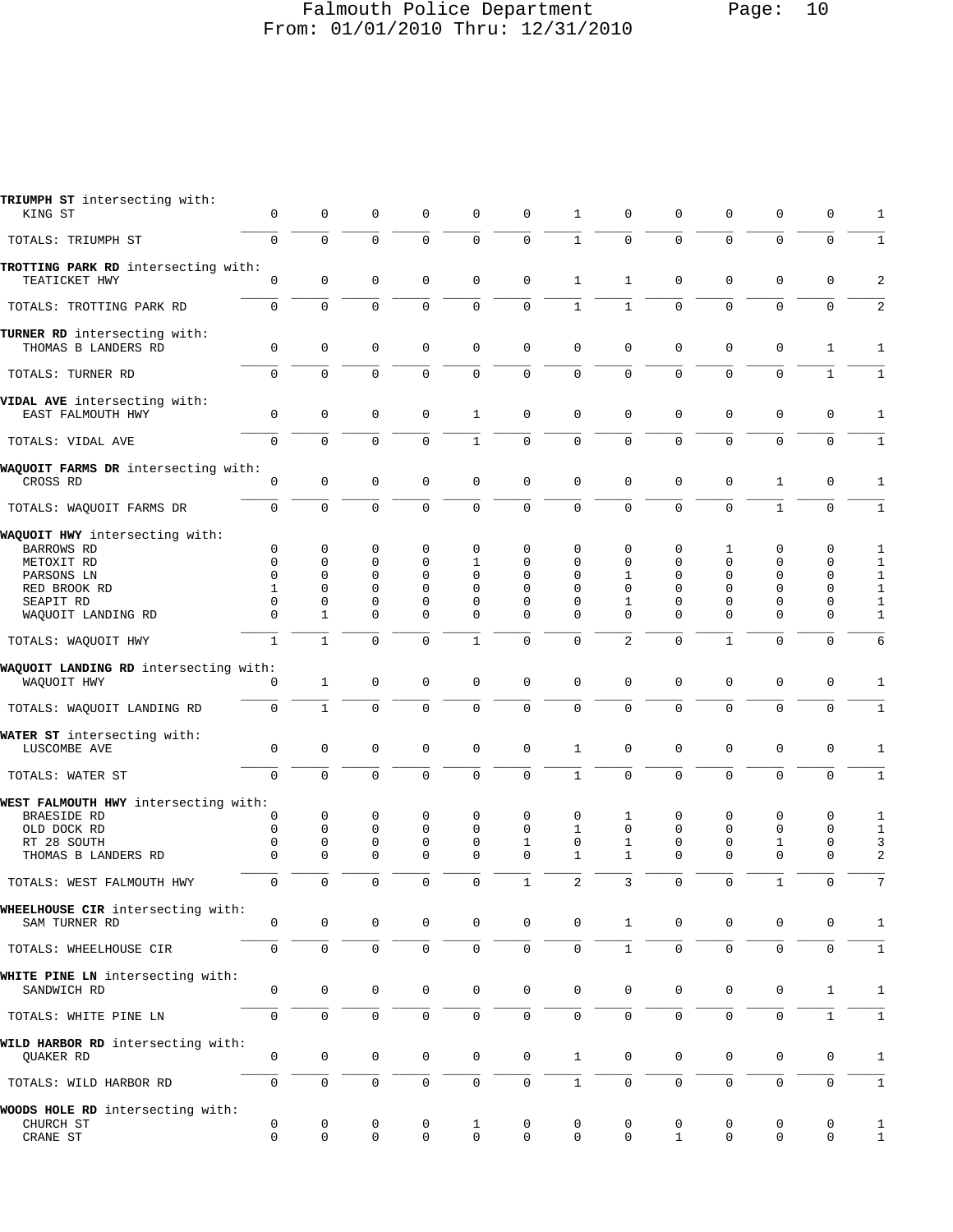#### Falmouth Police Department Page: 10 From: 01/01/2010 Thru: 12/31/2010

| TRIUMPH ST intersecting with:<br>KING ST             | 0                   | $\mathbf 0$         | 0                   | 0            | 0            | 0                   | 1                   | 0            | 0            | 0                   | 0            | 0            | 1                       |
|------------------------------------------------------|---------------------|---------------------|---------------------|--------------|--------------|---------------------|---------------------|--------------|--------------|---------------------|--------------|--------------|-------------------------|
| TOTALS: TRIUMPH ST                                   | $\mathbf 0$         | $\mathbf 0$         | $\mathsf 0$         | $\mathbf 0$  | $\mathbf 0$  | $\mathsf{O}\xspace$ | $\mathbf{1}$        | 0            | $\mathsf 0$  | $\mathbf 0$         | $\mathbf 0$  | $\mathbf 0$  | $\mathbf{1}$            |
| TROTTING PARK RD intersecting with:<br>TEATICKET HWY | $\mathbf 0$         | $\mathbf 0$         | $\mathbf 0$         | $\mathbf 0$  | $\mathbf 0$  | $\mathbf 0$         | $\mathbf{1}$        | $\mathbf{1}$ | $\mathbf 0$  | $\mathbf 0$         | $\mathbf 0$  | $\mathbf 0$  | $\overline{c}$          |
| TOTALS: TROTTING PARK RD                             | $\mathsf{O}$        | $\mathbf 0$         | $\mathbf 0$         | $\mathsf{O}$ | 0            | $\mathbf 0$         | $\mathbf{1}$        | $\mathbf{1}$ | 0            | $\mathbf 0$         | $\mathbf 0$  | $\mathbf 0$  | $\overline{\mathbf{c}}$ |
| TURNER RD intersecting with:                         |                     |                     |                     |              |              |                     |                     |              |              |                     |              |              |                         |
| THOMAS B LANDERS RD                                  | $\mathbf{0}$        | $\mathbf 0$         | $\mathbf 0$         | $\mathbf 0$  | $\mathbf 0$  | $\mathbf 0$         | $\mathbf 0$         | 0            | 0            | $\mathbf 0$         | $\mathbf 0$  | 1            | 1                       |
| TOTALS: TURNER RD                                    | $\mathbf 0$         | $\mathbf 0$         | $\mathbf 0$         | $\mathbf 0$  | $\mathbf 0$  | $\mathbf 0$         | $\mathbf 0$         | $\mathbf{0}$ | 0            | $\mathbf 0$         | $\mathbf 0$  | $\mathbf{1}$ | $1\,$                   |
| VIDAL AVE intersecting with:<br>EAST FALMOUTH HWY    | 0                   | 0                   | 0                   | $\mathbf 0$  | 1            | 0                   | $\mathbf 0$         | $\mathbf 0$  | 0            | $\mathbf 0$         | $\mathbf 0$  | 0            | 1                       |
| TOTALS: VIDAL AVE                                    | $\mathbf{0}$        | $\mathbf 0$         | $\mathbf 0$         | $\mathbf 0$  | $\mathbf{1}$ | $\mathbf 0$         | $\mathsf 0$         | $\mathbf 0$  | $\mathbf 0$  | $\mathbf 0$         | $\mathbf 0$  | $\mathbf 0$  | $1\,$                   |
| WAQUOIT FARMS DR intersecting with:<br>CROSS RD      | 0                   | $\mathbf 0$         | $\mathbf 0$         | $\mathbf 0$  | $\mathbf 0$  | $\mathbf 0$         | $\mathbf 0$         | $\mathbf 0$  | 0            | $\mathsf 0$         | 1            | 0            | 1                       |
| TOTALS: WAOUOIT FARMS DR                             | 0                   | $\mathbf 0$         | $\Omega$            | $\Omega$     | 0            | $\mathbf 0$         | $\Omega$            | $\Omega$     | $\Omega$     | 0                   | $\mathbf{1}$ | $\mathbf 0$  | 1                       |
| WAQUOIT HWY intersecting with:<br><b>BARROWS RD</b>  | 0                   | $\mathbf 0$         | 0                   | $\mathbf 0$  | 0            | $\mathbf 0$         | $\mathbf 0$         | 0            | 0            | 1                   | $\mathbf 0$  | 0            | 1                       |
| METOXIT RD                                           | $\mathbf 0$         | 0                   | $\mathbf 0$         | 0            | 1            | 0                   | $\mathbf 0$         | 0            | 0            | 0                   | $\mathbf 0$  | 0            | 1                       |
| PARSONS LN                                           | 0                   | $\Omega$            | $\mathbf 0$         | $\Omega$     | $\Omega$     | $\Omega$            | $\Omega$            | 1            | 0            | $\Omega$            | $\Omega$     | 0            | 1                       |
| RED BROOK RD                                         | $\mathbf{1}$        | $\mathbf 0$         | $\mathbf 0$         | $\Omega$     | $\Omega$     | $\Omega$            | $\Omega$            | $\mathbf{0}$ | 0            | 0                   | $\Omega$     | $\mathbf 0$  | $\,1\,$                 |
| SEAPIT RD                                            | 0                   | $\mathbf 0$         | 0                   | 0            | 0            | 0                   | $\mathbf 0$         | 1            | 0            | 0                   | 0            | 0            | $\mathbf{1}$            |
| WAQUOIT LANDING RD                                   | $\Omega$            | 1                   | $\Omega$            | $\Omega$     | 0            | $\Omega$            | $\Omega$            | $\Omega$     | $\Omega$     | $\Omega$            | $\Omega$     | 0            | 1                       |
| TOTALS: WAQUOIT HWY                                  | $\mathbf{1}$        | $\mathbf{1}$        | $\mathbf 0$         | $\Omega$     | 1            | $\mathbf 0$         | $\mathbf 0$         | 2            | 0            | 1                   | $\mathbf 0$  | 0            | 6                       |
| WAQUOIT LANDING RD intersecting with:<br>WAQUOIT HWY | 0                   | $\mathbf{1}$        | $\mathbf 0$         | $\mathbf 0$  | $\mathbf 0$  | $\mathbf 0$         | $\mathbf 0$         | $\mathbf 0$  | $\mathsf 0$  | $\mathbf 0$         | $\mathbf 0$  | $\mathbf 0$  | $\mathbf{1}$            |
| TOTALS: WAQUOIT LANDING RD                           | $\mathbf 0$         | $\mathbf{1}$        | $\mathbf 0$         | $\mathbf 0$  | 0            | $\mathbf 0$         | $\mathbf 0$         | 0            | 0            | $\mathbf 0$         | $\mathbf 0$  | $\mathbf 0$  | $\mathbf 1$             |
| WATER ST intersecting with:<br>LUSCOMBE AVE          | 0                   | $\mathbf 0$         | $\mathbf 0$         | $\mathbf 0$  | 0            | $\mathbf 0$         | 1                   | 0            | 0            | $\mathbf 0$         | $\mathbf 0$  | 0            | 1                       |
| TOTALS: WATER ST                                     | $\mathbf 0$         | $\mathbf 0$         | $\mathbf 0$         | $\mathbf 0$  | $\mathbf 0$  | $\mathbf 0$         | $\mathbf{1}$        | $\mathbf 0$  | $\mathbf 0$  | $\mathbf 0$         | $\mathbf 0$  | $\mathbf 0$  | $\mathbf 1$             |
| WEST FALMOUTH HWY intersecting with:                 |                     |                     |                     |              |              |                     |                     |              |              |                     |              |              |                         |
| BRAESIDE RD                                          | 0                   | 0                   | 0                   | 0            | 0            | 0                   | 0                   | 1            | 0            | 0                   | 0            | 0            | 1                       |
| OLD DOCK RD                                          | 0                   | 0                   | $\mathbf 0$         | $\mathbf 0$  | $\Omega$     | $\Omega$            | $\mathbf{1}$        | 0            | $\mathbf 0$  | $\Omega$            | $\mathbf 0$  | 0            | $\mathbf{1}$            |
| RT 28 SOUTH                                          | 0                   | 0                   | 0                   | 0            | $\mathbf 0$  | 1                   | 0                   | $\mathbf{1}$ | 0            | 0                   | 1            | 0            | 3                       |
| THOMAS B LANDERS RD                                  | $\Omega$            | $\Omega$            | $\Omega$            | $\Omega$     | $\Omega$     | $\Omega$            | 1                   | $\mathbf 1$  | $\Omega$     | $\Omega$            | $\Omega$     | $\Omega$     | $\overline{\mathbf{c}}$ |
| TOTALS: WEST FALMOUTH HWY                            | 0                   | 0                   | 0                   | 0            | $\mathbf 0$  | 1                   | 2                   | 3            | 0            | 0                   | 1            | 0            | 7                       |
| WHEELHOUSE CIR intersecting with:<br>SAM TURNER RD   | 0                   | $\mathbf 0$         | 0                   | 0            | 0            | $\mathbf 0$         | $\mathbf 0$         | $\mathbf{1}$ | 0            | 0                   | 0            | 0            | 1                       |
| TOTALS: WHEELHOUSE CIR                               | $\mathbf 0$         | $\mathsf{O}\xspace$ | $\mathsf{O}\xspace$ | 0            | $\mathbf 0$  | $\mathbf 0$         | $\mathbf 0$         | $\mathbf{1}$ | 0            | $\mathbf 0$         | $\mathbf 0$  | $\mathbf 0$  | $\mathbf{1}$            |
|                                                      |                     |                     |                     |              |              |                     |                     |              |              |                     |              |              |                         |
| WHITE PINE LN intersecting with:<br>SANDWICH RD      | 0                   | $\mathbf 0$         | $\mathbf 0$         | 0            | $\mathbf 0$  | $\mathsf{O}\xspace$ | $\mathbf 0$         | 0            | 0            | 0                   | $\mathsf 0$  | $\mathbf{1}$ | $\mathbf{1}$            |
| TOTALS: WHITE PINE LN                                | $\mathsf{O}$        | $\mathsf{O}\xspace$ | $\mathsf{O}\xspace$ | $\mathbf 0$  | $\mathbf 0$  | $\mathsf{O}\xspace$ | $\mathsf{O}\xspace$ | 0            | 0            | $\mathsf{O}\xspace$ | $\mathsf 0$  | $\mathbf{1}$ | $\mathbf{1}$            |
| WILD HARBOR RD intersecting with:<br>QUAKER RD       | 0                   | 0                   | 0                   | 0            | $\mathbf 0$  | $\mathbf 0$         | $\mathbf{1}$        | 0            | 0            | 0                   | 0            | 0            | $\mathbf{1}$            |
| TOTALS: WILD HARBOR RD                               | $\mathsf{O}\xspace$ | $\mathsf 0$         | $\mathsf{O}\xspace$ | 0            | $\mathbf 0$  | $\mathbf 0$         | $\mathbf{1}$        | $\mathsf{O}$ | 0            | $\mathbf 0$         | $\mathsf 0$  | $\mathbf 0$  | $\mathbf{1}$            |
| WOODS HOLE RD intersecting with:<br>CHURCH ST        | 0                   | 0                   | 0                   | 0            | 1            | 0                   | 0                   | 0            | 0            | 0                   | 0            | 0            | 1                       |
| CRANE ST                                             | 0                   | $\mathbf 0$         | 0                   | 0            | $\mathbf 0$  | $\mathbf 0$         | 0                   | 0            | $\mathbf{1}$ | 0                   | $\mathbf 0$  | 0            | $\mathbf{1}$            |